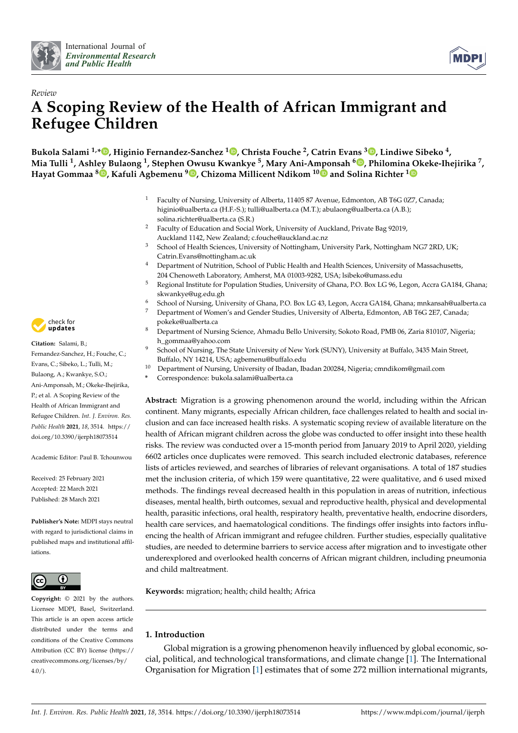



# *Review* **A Scoping Review of the Health of African Immigrant and Refugee Children**

**Bukola Salami 1,[\\*](https://orcid.org/0000-0003-1030-0464) , Higinio Fernandez-Sanchez <sup>1</sup> [,](https://orcid.org/0000-0003-4992-7096) Christa Fouche <sup>2</sup> , Catrin Evans <sup>3</sup> [,](https://orcid.org/0000-0002-5338-2191) Lindiwe Sibeko <sup>4</sup> , Mia Tulli <sup>1</sup> , Ashley Bulaong <sup>1</sup> , Stephen Owusu Kwankye <sup>5</sup> , Mary Ani-Amponsah <sup>6</sup> [,](https://orcid.org/0000-0002-0480-612X) Philomina Okeke-Ihejirika <sup>7</sup> , Hayat Gommaa <sup>8</sup> [,](https://orcid.org/0000-0003-1830-1103) Kafuli Agbemenu <sup>9</sup> [,](https://orcid.org/0000-0001-7224-1899) Chizoma Millicent Ndikom 1[0](https://orcid.org/0000-0002-4036-156X) and Solina Richter [1](https://orcid.org/0000-0002-4208-1035)**

- <sup>1</sup> Faculty of Nursing, University of Alberta, 11405 87 Avenue, Edmonton, AB T6G 0Z7, Canada; higinio@ualberta.ca (H.F.-S.); tulli@ualberta.ca (M.T.); abulaong@ualberta.ca (A.B.); solina.richter@ualberta.ca (S.R.)
- <sup>2</sup> Faculty of Education and Social Work, University of Auckland, Private Bag 92019, Auckland 1142, New Zealand; c.fouche@auckland.ac.nz
- <sup>3</sup> School of Health Sciences, University of Nottingham, University Park, Nottingham NG7 2RD, UK; Catrin.Evans@nottingham.ac.uk
- <sup>4</sup> Department of Nutrition, School of Public Health and Health Sciences, University of Massachusetts, 204 Chenoweth Laboratory, Amherst, MA 01003-9282, USA; lsibeko@umass.edu
- <sup>5</sup> Regional Institute for Population Studies, University of Ghana, P.O. Box LG 96, Legon, Accra GA184, Ghana; skwankye@ug.edu.gh
- <sup>6</sup> School of Nursing, University of Ghana, P.O. Box LG 43, Legon, Accra GA184, Ghana; mnkansah@ualberta.ca <sup>7</sup> Department of Women's and Gender Studies, University of Alberta, Edmonton, AB T6G 2E7, Canada;
- pokeke@ualberta.ca <sup>8</sup> Department of Nursing Science, Ahmadu Bello University, Sokoto Road, PMB 06, Zaria 810107, Nigeria;
- h\_gommaa@yahoo.com
- <sup>9</sup> School of Nursing, The State University of New York (SUNY), University at Buffalo, 3435 Main Street, Buffalo, NY 14214, USA; agbemenu@buffalo.edu
- <sup>10</sup> Department of Nursing, University of Ibadan, Ibadan 200284, Nigeria; cmndikom@gmail.com
- **\*** Correspondence: bukola.salami@ualberta.ca

**Abstract:** Migration is a growing phenomenon around the world, including within the African continent. Many migrants, especially African children, face challenges related to health and social inclusion and can face increased health risks. A systematic scoping review of available literature on the health of African migrant children across the globe was conducted to offer insight into these health risks. The review was conducted over a 15-month period from January 2019 to April 2020, yielding 6602 articles once duplicates were removed. This search included electronic databases, reference lists of articles reviewed, and searches of libraries of relevant organisations. A total of 187 studies met the inclusion criteria, of which 159 were quantitative, 22 were qualitative, and 6 used mixed methods. The findings reveal decreased health in this population in areas of nutrition, infectious diseases, mental health, birth outcomes, sexual and reproductive health, physical and developmental health, parasitic infections, oral health, respiratory health, preventative health, endocrine disorders, health care services, and haematological conditions. The findings offer insights into factors influencing the health of African immigrant and refugee children. Further studies, especially qualitative studies, are needed to determine barriers to service access after migration and to investigate other underexplored and overlooked health concerns of African migrant children, including pneumonia and child maltreatment.

**Keywords:** migration; health; child health; Africa

# **1. Introduction**

Global migration is a growing phenomenon heavily influenced by global economic, social, political, and technological transformations, and climate change [\[1\]](#page-11-0). The International Organisation for Migration [\[1\]](#page-11-0) estimates that of some 272 million international migrants,



**Citation:** Salami, B.; Fernandez-Sanchez, H.; Fouche, C.; Evans, C.; Sibeko, L.; Tulli, M.; Bulaong, A.; Kwankye, S.O.; Ani-Amponsah, M.; Okeke-Ihejirika, P.; et al. A Scoping Review of the Health of African Immigrant and Refugee Children. *Int. J. Environ. Res. Public Health* **2021**, *18*, 3514. [https://](https://doi.org/10.3390/ijerph18073514) [doi.org/10.3390/ijerph18073514](https://doi.org/10.3390/ijerph18073514)

Academic Editor: Paul B. Tchounwou

Received: 25 February 2021 Accepted: 22 March 2021 Published: 28 March 2021

**Publisher's Note:** MDPI stays neutral with regard to jurisdictional claims in published maps and institutional affiliations.



**Copyright:** © 2021 by the authors. Licensee MDPI, Basel, Switzerland. This article is an open access article distributed under the terms and conditions of the Creative Commons Attribution (CC BY) license (https:/[/](https://creativecommons.org/licenses/by/4.0/) [creativecommons.org/licenses/by/](https://creativecommons.org/licenses/by/4.0/)  $4.0/$ ).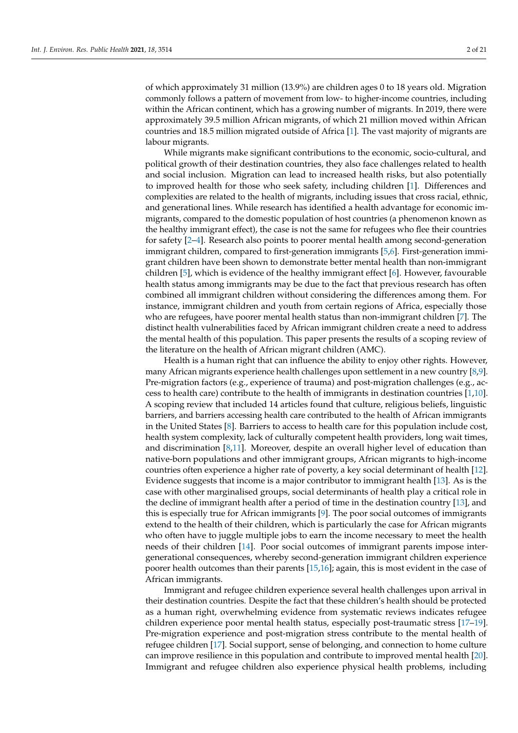of which approximately 31 million (13.9%) are children ages 0 to 18 years old. Migration commonly follows a pattern of movement from low- to higher-income countries, including within the African continent, which has a growing number of migrants. In 2019, there were approximately 39.5 million African migrants, of which 21 million moved within African countries and 18.5 million migrated outside of Africa [\[1\]](#page-11-0). The vast majority of migrants are labour migrants.

While migrants make significant contributions to the economic, socio-cultural, and political growth of their destination countries, they also face challenges related to health and social inclusion. Migration can lead to increased health risks, but also potentially to improved health for those who seek safety, including children [\[1\]](#page-11-0). Differences and complexities are related to the health of migrants, including issues that cross racial, ethnic, and generational lines. While research has identified a health advantage for economic immigrants, compared to the domestic population of host countries (a phenomenon known as the healthy immigrant effect), the case is not the same for refugees who flee their countries for safety [\[2–](#page-11-1)[4\]](#page-12-0). Research also points to poorer mental health among second-generation immigrant children, compared to first-generation immigrants [\[5](#page-12-1)[,6\]](#page-12-2). First-generation immigrant children have been shown to demonstrate better mental health than non-immigrant children [\[5\]](#page-12-1), which is evidence of the healthy immigrant effect [\[6\]](#page-12-2). However, favourable health status among immigrants may be due to the fact that previous research has often combined all immigrant children without considering the differences among them. For instance, immigrant children and youth from certain regions of Africa, especially those who are refugees, have poorer mental health status than non-immigrant children [\[7\]](#page-12-3). The distinct health vulnerabilities faced by African immigrant children create a need to address the mental health of this population. This paper presents the results of a scoping review of the literature on the health of African migrant children (AMC).

Health is a human right that can influence the ability to enjoy other rights. However, many African migrants experience health challenges upon settlement in a new country [\[8](#page-12-4)[,9\]](#page-12-5). Pre-migration factors (e.g., experience of trauma) and post-migration challenges (e.g., access to health care) contribute to the health of immigrants in destination countries [\[1,](#page-11-0)[10\]](#page-12-6). A scoping review that included 14 articles found that culture, religious beliefs, linguistic barriers, and barriers accessing health care contributed to the health of African immigrants in the United States [\[8\]](#page-12-4). Barriers to access to health care for this population include cost, health system complexity, lack of culturally competent health providers, long wait times, and discrimination [\[8](#page-12-4)[,11\]](#page-12-7). Moreover, despite an overall higher level of education than native-born populations and other immigrant groups, African migrants to high-income countries often experience a higher rate of poverty, a key social determinant of health [\[12\]](#page-12-8). Evidence suggests that income is a major contributor to immigrant health [\[13\]](#page-12-9). As is the case with other marginalised groups, social determinants of health play a critical role in the decline of immigrant health after a period of time in the destination country [\[13\]](#page-12-9), and this is especially true for African immigrants [\[9\]](#page-12-5). The poor social outcomes of immigrants extend to the health of their children, which is particularly the case for African migrants who often have to juggle multiple jobs to earn the income necessary to meet the health needs of their children [\[14\]](#page-12-10). Poor social outcomes of immigrant parents impose intergenerational consequences, whereby second-generation immigrant children experience poorer health outcomes than their parents [\[15,](#page-12-11)[16\]](#page-12-12); again, this is most evident in the case of African immigrants.

Immigrant and refugee children experience several health challenges upon arrival in their destination countries. Despite the fact that these children's health should be protected as a human right, overwhelming evidence from systematic reviews indicates refugee children experience poor mental health status, especially post-traumatic stress [\[17](#page-12-13)[–19\]](#page-12-14). Pre-migration experience and post-migration stress contribute to the mental health of refugee children [\[17\]](#page-12-13). Social support, sense of belonging, and connection to home culture can improve resilience in this population and contribute to improved mental health [\[20\]](#page-12-15). Immigrant and refugee children also experience physical health problems, including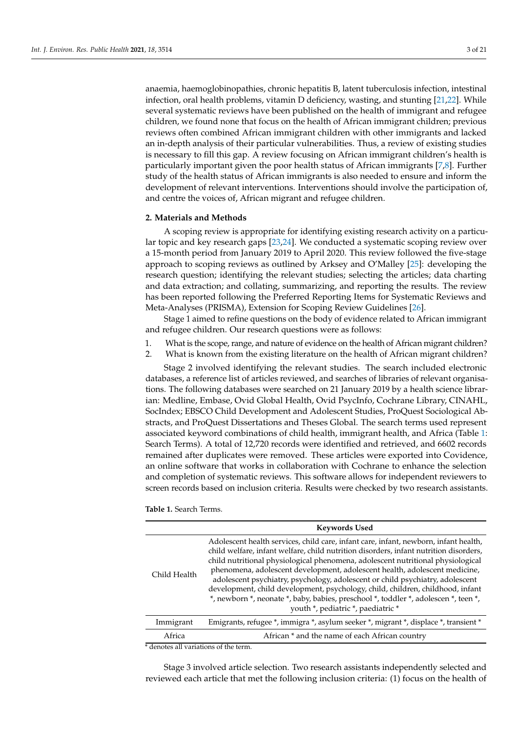anaemia, haemoglobinopathies, chronic hepatitis B, latent tuberculosis infection, intestinal infection, oral health problems, vitamin D deficiency, wasting, and stunting [\[21](#page-12-16)[,22\]](#page-12-17). While several systematic reviews have been published on the health of immigrant and refugee children, we found none that focus on the health of African immigrant children; previous reviews often combined African immigrant children with other immigrants and lacked an in-depth analysis of their particular vulnerabilities. Thus, a review of existing studies is necessary to fill this gap. A review focusing on African immigrant children's health is particularly important given the poor health status of African immigrants [\[7](#page-12-3)[,8\]](#page-12-4). Further study of the health status of African immigrants is also needed to ensure and inform the development of relevant interventions. Interventions should involve the participation of, and centre the voices of, African migrant and refugee children.

## **2. Materials and Methods**

A scoping review is appropriate for identifying existing research activity on a particular topic and key research gaps [\[23](#page-12-18)[,24\]](#page-12-19). We conducted a systematic scoping review over a 15-month period from January 2019 to April 2020. This review followed the five-stage approach to scoping reviews as outlined by Arksey and O'Malley [\[25\]](#page-12-20): developing the research question; identifying the relevant studies; selecting the articles; data charting and data extraction; and collating, summarizing, and reporting the results. The review has been reported following the Preferred Reporting Items for Systematic Reviews and Meta-Analyses (PRISMA), Extension for Scoping Review Guidelines [\[26\]](#page-12-21).

Stage 1 aimed to refine questions on the body of evidence related to African immigrant and refugee children. Our research questions were as follows:

- 1. What is the scope, range, and nature of evidence on the health of African migrant children?
- 2. What is known from the existing literature on the health of African migrant children?

Stage 2 involved identifying the relevant studies. The search included electronic databases, a reference list of articles reviewed, and searches of libraries of relevant organisations. The following databases were searched on 21 January 2019 by a health science librarian: Medline, Embase, Ovid Global Health, Ovid PsycInfo, Cochrane Library, CINAHL, SocIndex; EBSCO Child Development and Adolescent Studies, ProQuest Sociological Abstracts, and ProQuest Dissertations and Theses Global. The search terms used represent associated keyword combinations of child health, immigrant health, and Africa (Table [1:](#page-2-0) Search Terms). A total of 12,720 records were identified and retrieved, and 6602 records remained after duplicates were removed. These articles were exported into Covidence, an online software that works in collaboration with Cochrane to enhance the selection and completion of systematic reviews. This software allows for independent reviewers to screen records based on inclusion criteria. Results were checked by two research assistants.

<span id="page-2-0"></span>

|  | Table 1. Search Terms. |  |
|--|------------------------|--|
|  |                        |  |

|              | <b>Keywords Used</b>                                                                                                                                                                                                                                                                                                                                                                                                                                                                                                                                                                                                                           |
|--------------|------------------------------------------------------------------------------------------------------------------------------------------------------------------------------------------------------------------------------------------------------------------------------------------------------------------------------------------------------------------------------------------------------------------------------------------------------------------------------------------------------------------------------------------------------------------------------------------------------------------------------------------------|
| Child Health | Adolescent health services, child care, infant care, infant, newborn, infant health,<br>child welfare, infant welfare, child nutrition disorders, infant nutrition disorders,<br>child nutritional physiological phenomena, adolescent nutritional physiological<br>phenomena, adolescent development, adolescent health, adolescent medicine,<br>adolescent psychiatry, psychology, adolescent or child psychiatry, adolescent<br>development, child development, psychology, child, children, childhood, infant<br>*, newborn *, neonate *, baby, babies, preschool *, toddler *, adolescen *, teen *,<br>youth *, pediatric *, paediatric * |
| Immigrant    | Emigrants, refugee *, immigra *, asylum seeker *, migrant *, displace *, transient *                                                                                                                                                                                                                                                                                                                                                                                                                                                                                                                                                           |
| Africa       | African * and the name of each African country                                                                                                                                                                                                                                                                                                                                                                                                                                                                                                                                                                                                 |

\* denotes all variations of the term.

Stage 3 involved article selection. Two research assistants independently selected and reviewed each article that met the following inclusion criteria: (1) focus on the health of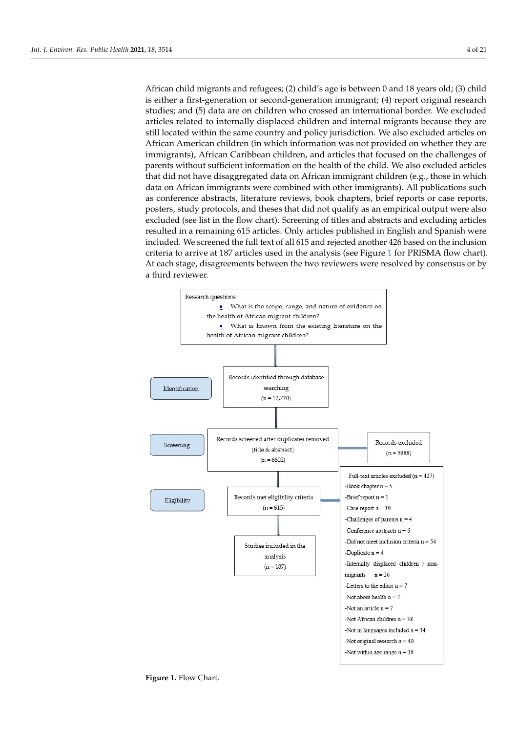African child migrants and refugees; (2) child's age is between 0 and 18 years old; (3) child is either a first-generation or second-generation immigrant; (4) report original research studies; and (5) data are on children who crossed an international border. We excluded articles related to internally displaced children and internal migrants because they are still located within the same country and policy jurisdiction. We also excluded articles on African American children (in which information was not provided on whether they are immigrants), African Caribbean children, and articles that focused on the challenges of parents without sufficient information on the health of the child. We also excluded articles that did not have disaggregated data on African immigrant children (e.g., those in which data on African immigrants were combined with other immigrants). All publications such as conference abstracts, literature reviews, book chapters, brief reports or case reports, posters, study protocols, and theses that did not qualify as an empirical output were also excluded (see list in the flow chart). Screening of titles and abstracts and excluding articles resulted in a remaining 615 articles. Only articles published in English and Spanish were included. We screened the full text of all 615 and rejected another 426 based on the inclusion criteria to arrive at 187 articles used in the analysis (see Figure [1](#page-3-0) for PRISMA flow chart). At each stage, disagreements between the two reviewers were resolved by consensus or by a third reviewer.

<span id="page-3-0"></span>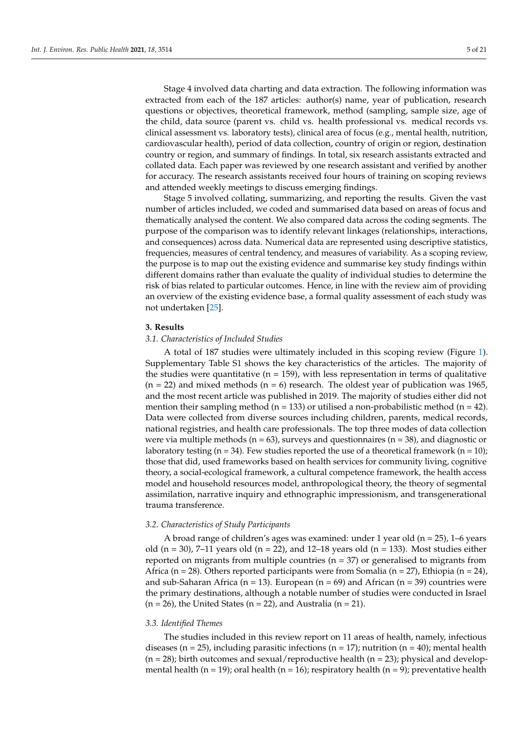Stage 4 involved data charting and data extraction. The following information was extracted from each of the 187 articles: author(s) name, year of publication, research questions or objectives, theoretical framework, method (sampling, sample size, age of the child, data source (parent vs. child vs. health professional vs. medical records vs. clinical assessment vs. laboratory tests), clinical area of focus (e.g., mental health, nutrition, cardiovascular health), period of data collection, country of origin or region, destination country or region, and summary of findings. In total, six research assistants extracted and collated data. Each paper was reviewed by one research assistant and verified by another for accuracy. The research assistants received four hours of training on scoping reviews and attended weekly meetings to discuss emerging findings.

Stage 5 involved collating, summarizing, and reporting the results. Given the vast number of articles included, we coded and summarised data based on areas of focus and thematically analysed the content. We also compared data across the coding segments. The purpose of the comparison was to identify relevant linkages (relationships, interactions, and consequences) across data. Numerical data are represented using descriptive statistics, frequencies, measures of central tendency, and measures of variability. As a scoping review, the purpose is to map out the existing evidence and summarise key study findings within different domains rather than evaluate the quality of individual studies to determine the risk of bias related to particular outcomes. Hence, in line with the review aim of providing an overview of the existing evidence base, a formal quality assessment of each study was not undertaken [\[25\]](#page-12-20).

## **3. Results**

#### *3.1. Characteristics of Included Studies*

A total of 187 studies were ultimately included in this scoping review (Figure [1\)](#page-3-0). Supplementary Table S1 shows the key characteristics of the articles. The majority of the studies were quantitative ( $n = 159$ ), with less representation in terms of qualitative  $(n = 22)$  and mixed methods  $(n = 6)$  research. The oldest year of publication was 1965, and the most recent article was published in 2019. The majority of studies either did not mention their sampling method ( $n = 133$ ) or utilised a non-probabilistic method ( $n = 42$ ). Data were collected from diverse sources including children, parents, medical records, national registries, and health care professionals. The top three modes of data collection were via multiple methods ( $n = 63$ ), surveys and questionnaires ( $n = 38$ ), and diagnostic or laboratory testing ( $n = 34$ ). Few studies reported the use of a theoretical framework ( $n = 10$ ); those that did, used frameworks based on health services for community living, cognitive theory, a social-ecological framework, a cultural competence framework, the health access model and household resources model, anthropological theory, the theory of segmental assimilation, narrative inquiry and ethnographic impressionism, and transgenerational trauma transference.

#### *3.2. Characteristics of Study Participants*

A broad range of children's ages was examined: under 1 year old ( $n = 25$ ), 1–6 years old  $(n = 30)$ , 7–11 years old  $(n = 22)$ , and 12–18 years old  $(n = 133)$ . Most studies either reported on migrants from multiple countries ( $n = 37$ ) or generalised to migrants from Africa ( $n = 28$ ). Others reported participants were from Somalia ( $n = 27$ ), Ethiopia ( $n = 24$ ), and sub-Saharan Africa ( $n = 13$ ). European ( $n = 69$ ) and African ( $n = 39$ ) countries were the primary destinations, although a notable number of studies were conducted in Israel  $(n = 26)$ , the United States  $(n = 22)$ , and Australia  $(n = 21)$ .

## *3.3. Identified Themes*

The studies included in this review report on 11 areas of health, namely, infectious diseases (n = 25), including parasitic infections (n = 17); nutrition (n = 40); mental health  $(n = 28)$ ; birth outcomes and sexual/reproductive health  $(n = 23)$ ; physical and developmental health (n = 19); oral health (n = 16); respiratory health (n = 9); preventative health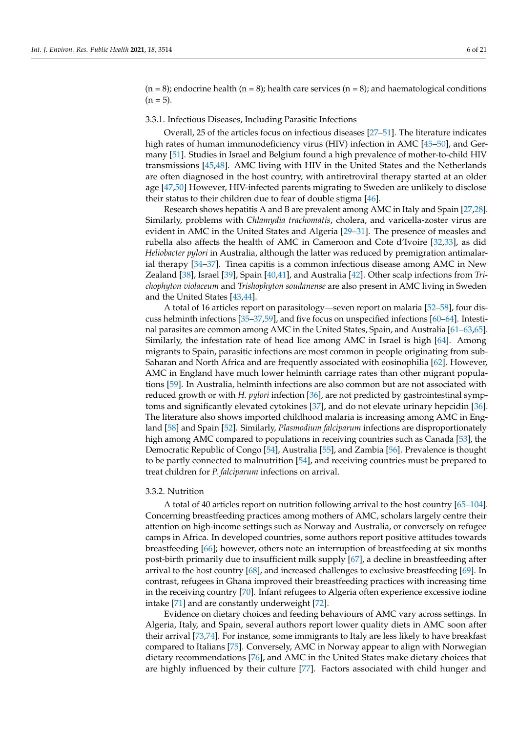$(n = 8)$ ; endocrine health  $(n = 8)$ ; health care services  $(n = 8)$ ; and haematological conditions  $(n = 5)$ .

## 3.3.1. Infectious Diseases, Including Parasitic Infections

Overall, 25 of the articles focus on infectious diseases [\[27](#page-12-22)[–51\]](#page-13-0). The literature indicates high rates of human immunodeficiency virus (HIV) infection in AMC [\[45](#page-13-1)[–50\]](#page-13-2), and Germany [\[51\]](#page-13-0). Studies in Israel and Belgium found a high prevalence of mother-to-child HIV transmissions [\[45,](#page-13-1)[48\]](#page-13-3). AMC living with HIV in the United States and the Netherlands are often diagnosed in the host country, with antiretroviral therapy started at an older age [\[47,](#page-13-4)[50\]](#page-13-2) However, HIV-infected parents migrating to Sweden are unlikely to disclose their status to their children due to fear of double stigma [\[46\]](#page-13-5).

Research shows hepatitis A and B are prevalent among AMC in Italy and Spain [\[27](#page-12-22)[,28\]](#page-12-23). Similarly, problems with *Chlamydia trachomatis*, cholera, and varicella-zoster virus are evident in AMC in the United States and Algeria [\[29–](#page-12-24)[31\]](#page-13-6). The presence of measles and rubella also affects the health of AMC in Cameroon and Cote d'Ivoire [\[32](#page-13-7)[,33\]](#page-13-8), as did *Heliobacter pylori* in Australia, although the latter was reduced by premigration antimalarial therapy [\[34–](#page-13-9)[37\]](#page-13-10). Tinea capitis is a common infectious disease among AMC in New Zealand [\[38\]](#page-13-11), Israel [\[39\]](#page-13-12), Spain [\[40](#page-13-13)[,41\]](#page-13-14), and Australia [\[42\]](#page-13-15). Other scalp infections from *Trichophyton violaceum* and *Trishophyton soudanense* are also present in AMC living in Sweden and the United States [\[43](#page-13-16)[,44\]](#page-13-17).

A total of 16 articles report on parasitology—seven report on malaria [\[52–](#page-13-18)[58\]](#page-14-0), four discuss helminth infections [\[35–](#page-13-19)[37,](#page-13-10)[59\]](#page-14-1), and five focus on unspecified infections [\[60](#page-14-2)[–64\]](#page-14-3). Intestinal parasites are common among AMC in the United States, Spain, and Australia [\[61–](#page-14-4)[63](#page-14-5)[,65\]](#page-14-6). Similarly, the infestation rate of head lice among AMC in Israel is high [\[64\]](#page-14-3). Among migrants to Spain, parasitic infections are most common in people originating from sub-Saharan and North Africa and are frequently associated with eosinophilia [\[62\]](#page-14-7). However, AMC in England have much lower helminth carriage rates than other migrant populations [\[59\]](#page-14-1). In Australia, helminth infections are also common but are not associated with reduced growth or with *H. pylori* infection [\[36\]](#page-13-20), are not predicted by gastrointestinal symptoms and significantly elevated cytokines [\[37\]](#page-13-10), and do not elevate urinary hepcidin [\[36\]](#page-13-20). The literature also shows imported childhood malaria is increasing among AMC in England [\[58\]](#page-14-0) and Spain [\[52\]](#page-13-18). Similarly, *Plasmodium falciparum* infections are disproportionately high among AMC compared to populations in receiving countries such as Canada [\[53\]](#page-13-21), the Democratic Republic of Congo [\[54\]](#page-13-22), Australia [\[55\]](#page-13-23), and Zambia [\[56\]](#page-13-24). Prevalence is thought to be partly connected to malnutrition [\[54\]](#page-13-22), and receiving countries must be prepared to treat children for *P. falciparum* infections on arrival.

## 3.3.2. Nutrition

A total of 40 articles report on nutrition following arrival to the host country [\[65](#page-14-6)[–104\]](#page-15-0). Concerning breastfeeding practices among mothers of AMC, scholars largely centre their attention on high-income settings such as Norway and Australia, or conversely on refugee camps in Africa. In developed countries, some authors report positive attitudes towards breastfeeding [\[66\]](#page-14-8); however, others note an interruption of breastfeeding at six months post-birth primarily due to insufficient milk supply [\[67\]](#page-14-9), a decline in breastfeeding after arrival to the host country [\[68\]](#page-14-10), and increased challenges to exclusive breastfeeding [\[69\]](#page-14-11). In contrast, refugees in Ghana improved their breastfeeding practices with increasing time in the receiving country [\[70\]](#page-14-12). Infant refugees to Algeria often experience excessive iodine intake [\[71\]](#page-14-13) and are constantly underweight [\[72\]](#page-14-14).

Evidence on dietary choices and feeding behaviours of AMC vary across settings. In Algeria, Italy, and Spain, several authors report lower quality diets in AMC soon after their arrival [\[73,](#page-14-15)[74\]](#page-14-16). For instance, some immigrants to Italy are less likely to have breakfast compared to Italians [\[75\]](#page-14-17). Conversely, AMC in Norway appear to align with Norwegian dietary recommendations [\[76\]](#page-14-18), and AMC in the United States make dietary choices that are highly influenced by their culture [\[77\]](#page-14-19). Factors associated with child hunger and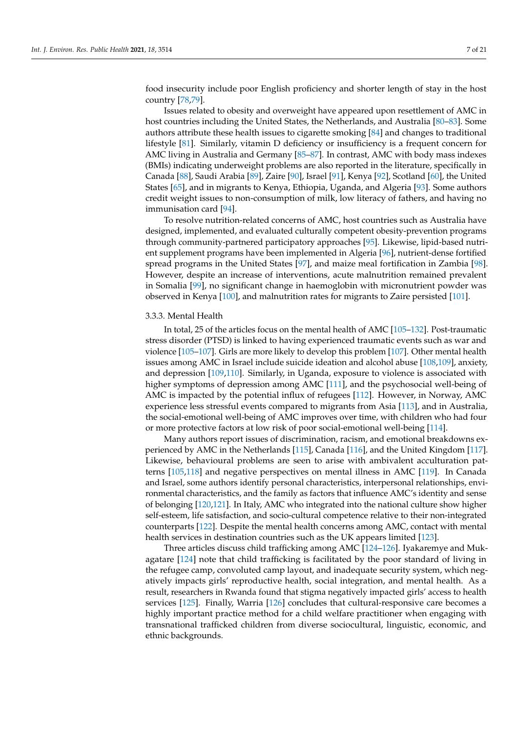food insecurity include poor English proficiency and shorter length of stay in the host

country [\[78](#page-14-20)[,79\]](#page-14-21). Issues related to obesity and overweight have appeared upon resettlement of AMC in host countries including the United States, the Netherlands, and Australia [\[80–](#page-14-22)[83\]](#page-14-23). Some authors attribute these health issues to cigarette smoking [\[84\]](#page-15-1) and changes to traditional lifestyle [\[81\]](#page-14-24). Similarly, vitamin D deficiency or insufficiency is a frequent concern for AMC living in Australia and Germany [\[85–](#page-15-2)[87\]](#page-15-3). In contrast, AMC with body mass indexes (BMIs) indicating underweight problems are also reported in the literature, specifically in Canada [\[88\]](#page-15-4), Saudi Arabia [\[89\]](#page-15-5), Zaire [\[90\]](#page-15-6), Israel [\[91\]](#page-15-7), Kenya [\[92\]](#page-15-8), Scotland [\[60\]](#page-14-2), the United States [\[65\]](#page-14-6), and in migrants to Kenya, Ethiopia, Uganda, and Algeria [\[93\]](#page-15-9). Some authors credit weight issues to non-consumption of milk, low literacy of fathers, and having no immunisation card [\[94\]](#page-15-10).

To resolve nutrition-related concerns of AMC, host countries such as Australia have designed, implemented, and evaluated culturally competent obesity-prevention programs through community-partnered participatory approaches [\[95\]](#page-15-11). Likewise, lipid-based nutrient supplement programs have been implemented in Algeria [\[96\]](#page-15-12), nutrient-dense fortified spread programs in the United States [\[97\]](#page-15-13), and maize meal fortification in Zambia [\[98\]](#page-15-14). However, despite an increase of interventions, acute malnutrition remained prevalent in Somalia [\[99\]](#page-15-15), no significant change in haemoglobin with micronutrient powder was observed in Kenya [\[100\]](#page-15-16), and malnutrition rates for migrants to Zaire persisted [\[101\]](#page-15-17).

## 3.3.3. Mental Health

In total, 25 of the articles focus on the mental health of AMC [\[105](#page-15-18)[–132\]](#page-16-0). Post-traumatic stress disorder (PTSD) is linked to having experienced traumatic events such as war and violence [\[105](#page-15-18)[–107\]](#page-15-19). Girls are more likely to develop this problem [\[107\]](#page-15-19). Other mental health issues among AMC in Israel include suicide ideation and alcohol abuse [\[108,](#page-15-20)[109\]](#page-16-1), anxiety, and depression [\[109](#page-16-1)[,110\]](#page-16-2). Similarly, in Uganda, exposure to violence is associated with higher symptoms of depression among AMC [\[111\]](#page-16-3), and the psychosocial well-being of AMC is impacted by the potential influx of refugees [\[112\]](#page-16-4). However, in Norway, AMC experience less stressful events compared to migrants from Asia [\[113\]](#page-16-5), and in Australia, the social-emotional well-being of AMC improves over time, with children who had four or more protective factors at low risk of poor social-emotional well-being [\[114\]](#page-16-6).

Many authors report issues of discrimination, racism, and emotional breakdowns experienced by AMC in the Netherlands [\[115\]](#page-16-7), Canada [\[116\]](#page-16-8), and the United Kingdom [\[117\]](#page-16-9). Likewise, behavioural problems are seen to arise with ambivalent acculturation patterns [\[105,](#page-15-18)[118\]](#page-16-10) and negative perspectives on mental illness in AMC [\[119\]](#page-16-11). In Canada and Israel, some authors identify personal characteristics, interpersonal relationships, environmental characteristics, and the family as factors that influence AMC's identity and sense of belonging [\[120](#page-16-12)[,121\]](#page-16-13). In Italy, AMC who integrated into the national culture show higher self-esteem, life satisfaction, and socio-cultural competence relative to their non-integrated counterparts [\[122\]](#page-16-14). Despite the mental health concerns among AMC, contact with mental health services in destination countries such as the UK appears limited [\[123\]](#page-16-15).

Three articles discuss child trafficking among AMC [\[124](#page-16-16)[–126\]](#page-16-17). Iyakaremye and Mukagatare [\[124\]](#page-16-16) note that child trafficking is facilitated by the poor standard of living in the refugee camp, convoluted camp layout, and inadequate security system, which negatively impacts girls' reproductive health, social integration, and mental health. As a result, researchers in Rwanda found that stigma negatively impacted girls' access to health services [\[125\]](#page-16-18). Finally, Warria [\[126\]](#page-16-17) concludes that cultural-responsive care becomes a highly important practice method for a child welfare practitioner when engaging with transnational trafficked children from diverse sociocultural, linguistic, economic, and ethnic backgrounds.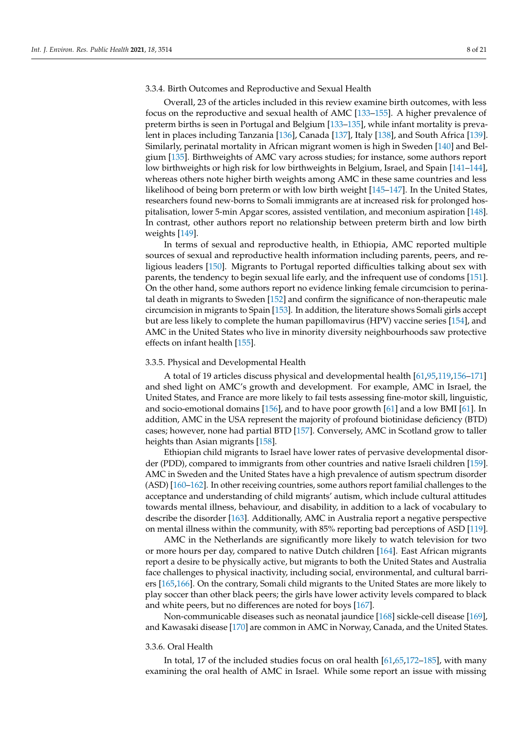## 3.3.4. Birth Outcomes and Reproductive and Sexual Health

Overall, 23 of the articles included in this review examine birth outcomes, with less focus on the reproductive and sexual health of AMC [\[133–](#page-16-19)[155\]](#page-17-0). A higher prevalence of preterm births is seen in Portugal and Belgium [\[133–](#page-16-19)[135\]](#page-16-20), while infant mortality is prevalent in places including Tanzania [\[136\]](#page-17-1), Canada [\[137\]](#page-17-2), Italy [\[138\]](#page-17-3), and South Africa [\[139\]](#page-17-4). Similarly, perinatal mortality in African migrant women is high in Sweden [\[140\]](#page-17-5) and Belgium [\[135\]](#page-16-20). Birthweights of AMC vary across studies; for instance, some authors report low birthweights or high risk for low birthweights in Belgium, Israel, and Spain [\[141–](#page-17-6)[144\]](#page-17-7), whereas others note higher birth weights among AMC in these same countries and less likelihood of being born preterm or with low birth weight [\[145–](#page-17-8)[147\]](#page-17-9). In the United States, researchers found new-borns to Somali immigrants are at increased risk for prolonged hospitalisation, lower 5-min Apgar scores, assisted ventilation, and meconium aspiration [\[148\]](#page-17-10). In contrast, other authors report no relationship between preterm birth and low birth weights [\[149\]](#page-17-11).

In terms of sexual and reproductive health, in Ethiopia, AMC reported multiple sources of sexual and reproductive health information including parents, peers, and religious leaders [\[150\]](#page-17-12). Migrants to Portugal reported difficulties talking about sex with parents, the tendency to begin sexual life early, and the infrequent use of condoms [\[151\]](#page-17-13). On the other hand, some authors report no evidence linking female circumcision to perinatal death in migrants to Sweden [\[152\]](#page-17-14) and confirm the significance of non-therapeutic male circumcision in migrants to Spain [\[153\]](#page-17-15). In addition, the literature shows Somali girls accept but are less likely to complete the human papillomavirus (HPV) vaccine series [\[154\]](#page-17-16), and AMC in the United States who live in minority diversity neighbourhoods saw protective effects on infant health [\[155\]](#page-17-0).

# 3.3.5. Physical and Developmental Health

A total of 19 articles discuss physical and developmental health [\[61](#page-14-4)[,95](#page-15-11)[,119](#page-16-11)[,156–](#page-17-17)[171\]](#page-18-0) and shed light on AMC's growth and development. For example, AMC in Israel, the United States, and France are more likely to fail tests assessing fine-motor skill, linguistic, and socio-emotional domains [\[156\]](#page-17-17), and to have poor growth [\[61\]](#page-14-4) and a low BMI [\[61\]](#page-14-4). In addition, AMC in the USA represent the majority of profound biotinidase deficiency (BTD) cases; however, none had partial BTD [\[157\]](#page-17-18). Conversely, AMC in Scotland grow to taller heights than Asian migrants [\[158\]](#page-17-19).

Ethiopian child migrants to Israel have lower rates of pervasive developmental disorder (PDD), compared to immigrants from other countries and native Israeli children [\[159\]](#page-17-20). AMC in Sweden and the United States have a high prevalence of autism spectrum disorder (ASD) [\[160–](#page-17-21)[162\]](#page-17-22). In other receiving countries, some authors report familial challenges to the acceptance and understanding of child migrants' autism, which include cultural attitudes towards mental illness, behaviour, and disability, in addition to a lack of vocabulary to describe the disorder [\[163\]](#page-18-1). Additionally, AMC in Australia report a negative perspective on mental illness within the community, with 85% reporting bad perceptions of ASD [\[119\]](#page-16-11).

AMC in the Netherlands are significantly more likely to watch television for two or more hours per day, compared to native Dutch children [\[164\]](#page-18-2). East African migrants report a desire to be physically active, but migrants to both the United States and Australia face challenges to physical inactivity, including social, environmental, and cultural barriers [\[165,](#page-18-3)[166\]](#page-18-4). On the contrary, Somali child migrants to the United States are more likely to play soccer than other black peers; the girls have lower activity levels compared to black and white peers, but no differences are noted for boys [\[167\]](#page-18-5).

Non-communicable diseases such as neonatal jaundice [\[168\]](#page-18-6) sickle-cell disease [\[169\]](#page-18-7), and Kawasaki disease [\[170\]](#page-18-8) are common in AMC in Norway, Canada, and the United States.

#### 3.3.6. Oral Health

In total, 17 of the included studies focus on oral health [\[61,](#page-14-4)[65,](#page-14-6)[172–](#page-18-9)[185\]](#page-18-10), with many examining the oral health of AMC in Israel. While some report an issue with missing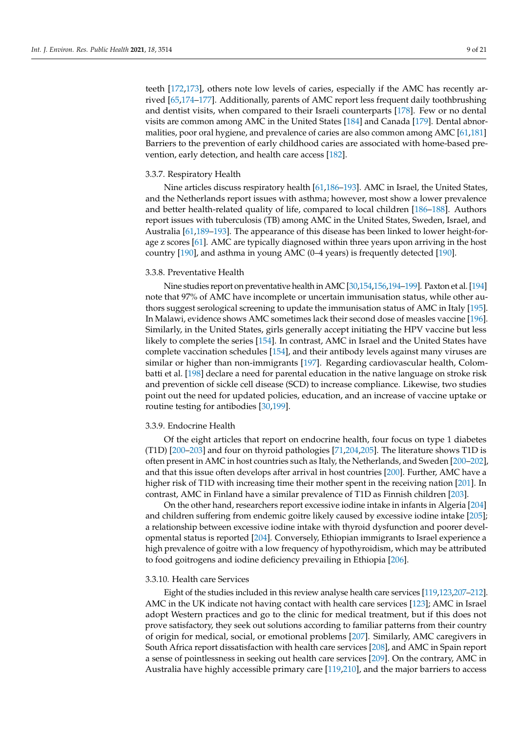teeth [\[172](#page-18-9)[,173\]](#page-18-11), others note low levels of caries, especially if the AMC has recently arrived [\[65,](#page-14-6)[174–](#page-18-12)[177\]](#page-18-13). Additionally, parents of AMC report less frequent daily toothbrushing and dentist visits, when compared to their Israeli counterparts [\[178\]](#page-18-14). Few or no dental visits are common among AMC in the United States [\[184\]](#page-18-15) and Canada [\[179\]](#page-18-16). Dental abnormalities, poor oral hygiene, and prevalence of caries are also common among AMC [\[61,](#page-14-4)[181\]](#page-18-17) Barriers to the prevention of early childhood caries are associated with home-based prevention, early detection, and health care access [\[182\]](#page-18-18).

#### 3.3.7. Respiratory Health

Nine articles discuss respiratory health [\[61](#page-14-4)[,186–](#page-18-19)[193\]](#page-19-0). AMC in Israel, the United States, and the Netherlands report issues with asthma; however, most show a lower prevalence and better health-related quality of life, compared to local children [\[186](#page-18-19)[–188\]](#page-18-20). Authors report issues with tuberculosis (TB) among AMC in the United States, Sweden, Israel, and Australia [\[61,](#page-14-4)[189–](#page-18-21)[193\]](#page-19-0). The appearance of this disease has been linked to lower height-forage z scores [\[61\]](#page-14-4). AMC are typically diagnosed within three years upon arriving in the host country [\[190\]](#page-18-22), and asthma in young AMC (0–4 years) is frequently detected [\[190\]](#page-18-22).

#### 3.3.8. Preventative Health

Nine studies report on preventative health in AMC [\[30](#page-12-25)[,154,](#page-17-16)[156](#page-17-17)[,194–](#page-19-1)[199\]](#page-19-2). Paxton et al. [\[194\]](#page-19-1) note that 97% of AMC have incomplete or uncertain immunisation status, while other authors suggest serological screening to update the immunisation status of AMC in Italy [\[195\]](#page-19-3). In Malawi, evidence shows AMC sometimes lack their second dose of measles vaccine [\[196\]](#page-19-4). Similarly, in the United States, girls generally accept initiating the HPV vaccine but less likely to complete the series [\[154\]](#page-17-16). In contrast, AMC in Israel and the United States have complete vaccination schedules [\[154\]](#page-17-16), and their antibody levels against many viruses are similar or higher than non-immigrants [\[197\]](#page-19-5). Regarding cardiovascular health, Colombatti et al. [\[198\]](#page-19-6) declare a need for parental education in the native language on stroke risk and prevention of sickle cell disease (SCD) to increase compliance. Likewise, two studies point out the need for updated policies, education, and an increase of vaccine uptake or routine testing for antibodies [\[30,](#page-12-25)[199\]](#page-19-2).

### 3.3.9. Endocrine Health

Of the eight articles that report on endocrine health, four focus on type 1 diabetes (T1D) [\[200](#page-19-7)[–203\]](#page-19-8) and four on thyroid pathologies [\[71](#page-14-13)[,204,](#page-19-9)[205\]](#page-19-10). The literature shows T1D is often present in AMC in host countries such as Italy, the Netherlands, and Sweden [\[200–](#page-19-7)[202\]](#page-19-11), and that this issue often develops after arrival in host countries [\[200\]](#page-19-7). Further, AMC have a higher risk of T1D with increasing time their mother spent in the receiving nation [\[201\]](#page-19-12). In contrast, AMC in Finland have a similar prevalence of T1D as Finnish children [\[203\]](#page-19-8).

On the other hand, researchers report excessive iodine intake in infants in Algeria [\[204\]](#page-19-9) and children suffering from endemic goitre likely caused by excessive iodine intake [\[205\]](#page-19-10); a relationship between excessive iodine intake with thyroid dysfunction and poorer developmental status is reported [\[204\]](#page-19-9). Conversely, Ethiopian immigrants to Israel experience a high prevalence of goitre with a low frequency of hypothyroidism, which may be attributed to food goitrogens and iodine deficiency prevailing in Ethiopia [\[206\]](#page-19-13).

## 3.3.10. Health care Services

Eight of the studies included in this review analyse health care services [\[119,](#page-16-11)[123](#page-16-15)[,207](#page-19-14)[–212\]](#page-19-15). AMC in the UK indicate not having contact with health care services [\[123\]](#page-16-15); AMC in Israel adopt Western practices and go to the clinic for medical treatment, but if this does not prove satisfactory, they seek out solutions according to familiar patterns from their country of origin for medical, social, or emotional problems [\[207\]](#page-19-14). Similarly, AMC caregivers in South Africa report dissatisfaction with health care services [\[208\]](#page-19-16), and AMC in Spain report a sense of pointlessness in seeking out health care services [\[209\]](#page-19-17). On the contrary, AMC in Australia have highly accessible primary care [\[119](#page-16-11)[,210\]](#page-19-18), and the major barriers to access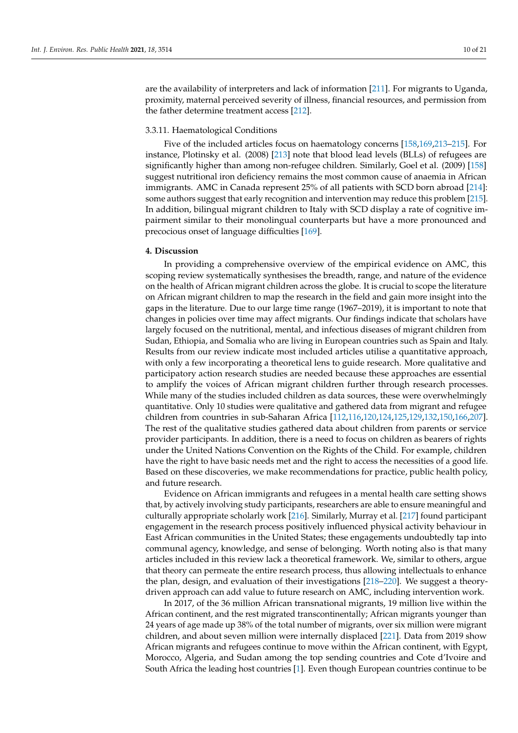are the availability of interpreters and lack of information [\[211\]](#page-19-19). For migrants to Uganda, proximity, maternal perceived severity of illness, financial resources, and permission from the father determine treatment access [\[212\]](#page-19-15).

## 3.3.11. Haematological Conditions

Five of the included articles focus on haematology concerns [\[158](#page-17-19)[,169](#page-18-7)[,213](#page-19-20)[–215\]](#page-19-21). For instance, Plotinsky et al. (2008) [\[213\]](#page-19-20) note that blood lead levels (BLLs) of refugees are significantly higher than among non-refugee children. Similarly, Goel et al. (2009) [\[158\]](#page-17-19) suggest nutritional iron deficiency remains the most common cause of anaemia in African immigrants. AMC in Canada represent 25% of all patients with SCD born abroad [\[214\]](#page-19-22): some authors suggest that early recognition and intervention may reduce this problem [\[215\]](#page-19-21). In addition, bilingual migrant children to Italy with SCD display a rate of cognitive impairment similar to their monolingual counterparts but have a more pronounced and precocious onset of language difficulties [\[169\]](#page-18-7).

## **4. Discussion**

In providing a comprehensive overview of the empirical evidence on AMC, this scoping review systematically synthesises the breadth, range, and nature of the evidence on the health of African migrant children across the globe. It is crucial to scope the literature on African migrant children to map the research in the field and gain more insight into the gaps in the literature. Due to our large time range (1967–2019), it is important to note that changes in policies over time may affect migrants. Our findings indicate that scholars have largely focused on the nutritional, mental, and infectious diseases of migrant children from Sudan, Ethiopia, and Somalia who are living in European countries such as Spain and Italy. Results from our review indicate most included articles utilise a quantitative approach, with only a few incorporating a theoretical lens to guide research. More qualitative and participatory action research studies are needed because these approaches are essential to amplify the voices of African migrant children further through research processes. While many of the studies included children as data sources, these were overwhelmingly quantitative. Only 10 studies were qualitative and gathered data from migrant and refugee children from countries in sub-Saharan Africa [\[112](#page-16-4)[,116,](#page-16-8)[120,](#page-16-12)[124,](#page-16-16)[125,](#page-16-18)[129,](#page-16-21)[132,](#page-16-0)[150,](#page-17-12)[166,](#page-18-4)[207\]](#page-19-14). The rest of the qualitative studies gathered data about children from parents or service provider participants. In addition, there is a need to focus on children as bearers of rights under the United Nations Convention on the Rights of the Child. For example, children have the right to have basic needs met and the right to access the necessities of a good life. Based on these discoveries, we make recommendations for practice, public health policy, and future research.

Evidence on African immigrants and refugees in a mental health care setting shows that, by actively involving study participants, researchers are able to ensure meaningful and culturally appropriate scholarly work [\[216\]](#page-19-23). Similarly, Murray et al. [\[217\]](#page-20-0) found participant engagement in the research process positively influenced physical activity behaviour in East African communities in the United States; these engagements undoubtedly tap into communal agency, knowledge, and sense of belonging. Worth noting also is that many articles included in this review lack a theoretical framework. We, similar to others, argue that theory can permeate the entire research process, thus allowing intellectuals to enhance the plan, design, and evaluation of their investigations [\[218–](#page-20-1)[220\]](#page-20-2). We suggest a theorydriven approach can add value to future research on AMC, including intervention work.

In 2017, of the 36 million African transnational migrants, 19 million live within the African continent, and the rest migrated transcontinentally; African migrants younger than 24 years of age made up 38% of the total number of migrants, over six million were migrant children, and about seven million were internally displaced [\[221\]](#page-20-3). Data from 2019 show African migrants and refugees continue to move within the African continent, with Egypt, Morocco, Algeria, and Sudan among the top sending countries and Cote d'Ivoire and South Africa the leading host countries [\[1\]](#page-11-0). Even though European countries continue to be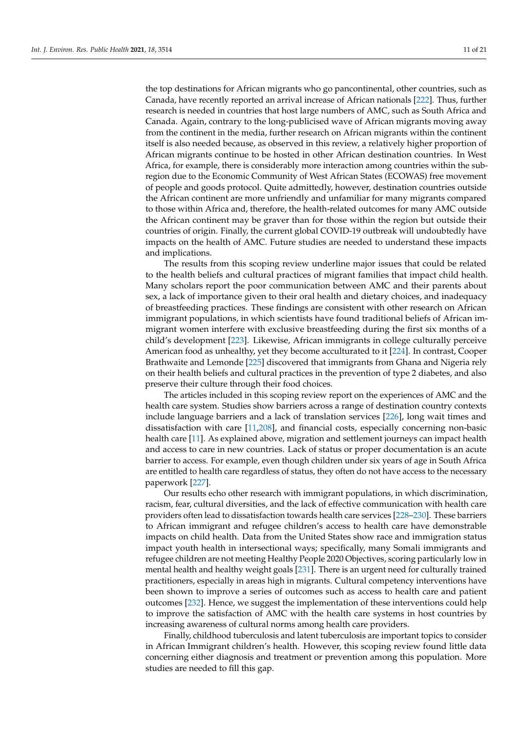the top destinations for African migrants who go pancontinental, other countries, such as Canada, have recently reported an arrival increase of African nationals [\[222\]](#page-20-4). Thus, further research is needed in countries that host large numbers of AMC, such as South Africa and Canada. Again, contrary to the long-publicised wave of African migrants moving away from the continent in the media, further research on African migrants within the continent itself is also needed because, as observed in this review, a relatively higher proportion of African migrants continue to be hosted in other African destination countries. In West Africa, for example, there is considerably more interaction among countries within the subregion due to the Economic Community of West African States (ECOWAS) free movement of people and goods protocol. Quite admittedly, however, destination countries outside the African continent are more unfriendly and unfamiliar for many migrants compared to those within Africa and, therefore, the health-related outcomes for many AMC outside the African continent may be graver than for those within the region but outside their countries of origin. Finally, the current global COVID-19 outbreak will undoubtedly have impacts on the health of AMC. Future studies are needed to understand these impacts and implications.

The results from this scoping review underline major issues that could be related to the health beliefs and cultural practices of migrant families that impact child health. Many scholars report the poor communication between AMC and their parents about sex, a lack of importance given to their oral health and dietary choices, and inadequacy of breastfeeding practices. These findings are consistent with other research on African immigrant populations, in which scientists have found traditional beliefs of African immigrant women interfere with exclusive breastfeeding during the first six months of a child's development [\[223\]](#page-20-5). Likewise, African immigrants in college culturally perceive American food as unhealthy, yet they become acculturated to it [\[224\]](#page-20-6). In contrast, Cooper Brathwaite and Lemonde [\[225\]](#page-20-7) discovered that immigrants from Ghana and Nigeria rely on their health beliefs and cultural practices in the prevention of type 2 diabetes, and also preserve their culture through their food choices.

The articles included in this scoping review report on the experiences of AMC and the health care system. Studies show barriers across a range of destination country contexts include language barriers and a lack of translation services [\[226\]](#page-20-8), long wait times and dissatisfaction with care [\[11,](#page-12-7)[208\]](#page-19-16), and financial costs, especially concerning non-basic health care [\[11\]](#page-12-7). As explained above, migration and settlement journeys can impact health and access to care in new countries. Lack of status or proper documentation is an acute barrier to access. For example, even though children under six years of age in South Africa are entitled to health care regardless of status, they often do not have access to the necessary paperwork [\[227\]](#page-20-9).

Our results echo other research with immigrant populations, in which discrimination, racism, fear, cultural diversities, and the lack of effective communication with health care providers often lead to dissatisfaction towards health care services [\[228](#page-20-10)[–230\]](#page-20-11). These barriers to African immigrant and refugee children's access to health care have demonstrable impacts on child health. Data from the United States show race and immigration status impact youth health in intersectional ways; specifically, many Somali immigrants and refugee children are not meeting Healthy People 2020 Objectives, scoring particularly low in mental health and healthy weight goals [\[231\]](#page-20-12). There is an urgent need for culturally trained practitioners, especially in areas high in migrants. Cultural competency interventions have been shown to improve a series of outcomes such as access to health care and patient outcomes [\[232\]](#page-20-13). Hence, we suggest the implementation of these interventions could help to improve the satisfaction of AMC with the health care systems in host countries by increasing awareness of cultural norms among health care providers.

Finally, childhood tuberculosis and latent tuberculosis are important topics to consider in African Immigrant children's health. However, this scoping review found little data concerning either diagnosis and treatment or prevention among this population. More studies are needed to fill this gap.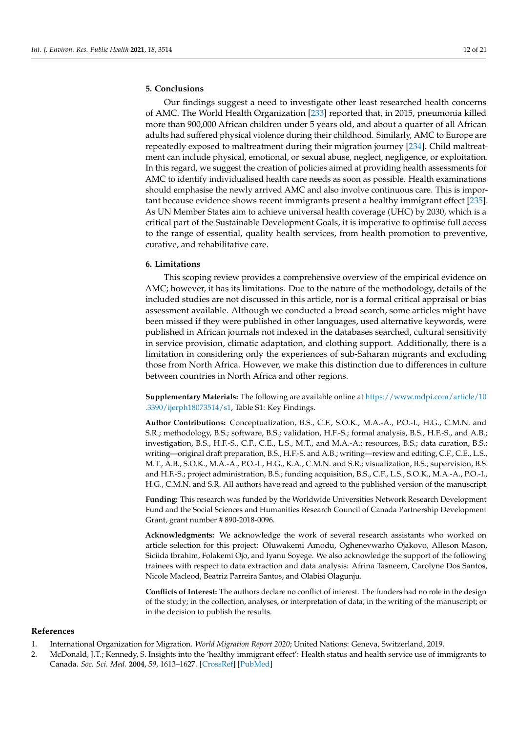# **5. Conclusions**

Our findings suggest a need to investigate other least researched health concerns of AMC. The World Health Organization [\[233\]](#page-20-14) reported that, in 2015, pneumonia killed more than 900,000 African children under 5 years old, and about a quarter of all African adults had suffered physical violence during their childhood. Similarly, AMC to Europe are repeatedly exposed to maltreatment during their migration journey [\[234\]](#page-20-15). Child maltreatment can include physical, emotional, or sexual abuse, neglect, negligence, or exploitation. In this regard, we suggest the creation of policies aimed at providing health assessments for AMC to identify individualised health care needs as soon as possible. Health examinations should emphasise the newly arrived AMC and also involve continuous care. This is important because evidence shows recent immigrants present a healthy immigrant effect [\[235\]](#page-20-16). As UN Member States aim to achieve universal health coverage (UHC) by 2030, which is a critical part of the Sustainable Development Goals, it is imperative to optimise full access to the range of essential, quality health services, from health promotion to preventive, curative, and rehabilitative care.

## **6. Limitations**

This scoping review provides a comprehensive overview of the empirical evidence on AMC; however, it has its limitations. Due to the nature of the methodology, details of the included studies are not discussed in this article, nor is a formal critical appraisal or bias assessment available. Although we conducted a broad search, some articles might have been missed if they were published in other languages, used alternative keywords, were published in African journals not indexed in the databases searched, cultural sensitivity in service provision, climatic adaptation, and clothing support. Additionally, there is a limitation in considering only the experiences of sub-Saharan migrants and excluding those from North Africa. However, we make this distinction due to differences in culture between countries in North Africa and other regions.

**Supplementary Materials:** The following are available online at [https://www.mdpi.com/article/10](https://www.mdpi.com/article/10.3390/ijerph18073514/s1) [.3390/ijerph18073514/s1,](https://www.mdpi.com/article/10.3390/ijerph18073514/s1) Table S1: Key Findings.

**Author Contributions:** Conceptualization, B.S., C.F., S.O.K., M.A.-A., P.O.-I., H.G., C.M.N. and S.R.; methodology, B.S.; software, B.S.; validation, H.F.-S.; formal analysis, B.S., H.F.-S., and A.B.; investigation, B.S., H.F.-S., C.F., C.E., L.S., M.T., and M.A.-A.; resources, B.S.; data curation, B.S.; writing—original draft preparation, B.S., H.F.-S. and A.B.; writing—review and editing, C.F., C.E., L.S., M.T., A.B., S.O.K., M.A.-A., P.O.-I., H.G., K.A., C.M.N. and S.R.; visualization, B.S.; supervision, B.S. and H.F.-S.; project administration, B.S.; funding acquisition, B.S., C.F., L.S., S.O.K., M.A.-A., P.O.-I., H.G., C.M.N. and S.R. All authors have read and agreed to the published version of the manuscript.

**Funding:** This research was funded by the Worldwide Universities Network Research Development Fund and the Social Sciences and Humanities Research Council of Canada Partnership Development Grant, grant number # 890-2018-0096.

**Acknowledgments:** We acknowledge the work of several research assistants who worked on article selection for this project: Oluwakemi Amodu, Oghenevwarho Ojakovo, Alleson Mason, Siciida Ibrahim, Folakemi Ojo, and Iyanu Soyege. We also acknowledge the support of the following trainees with respect to data extraction and data analysis: Afrina Tasneem, Carolyne Dos Santos, Nicole Macleod, Beatriz Parreira Santos, and Olabisi Olagunju.

**Conflicts of Interest:** The authors declare no conflict of interest. The funders had no role in the design of the study; in the collection, analyses, or interpretation of data; in the writing of the manuscript; or in the decision to publish the results.

#### **References**

- <span id="page-11-0"></span>1. International Organization for Migration. *World Migration Report 2020*; United Nations: Geneva, Switzerland, 2019.
- <span id="page-11-1"></span>2. McDonald, J.T.; Kennedy, S. Insights into the 'healthy immigrant effect': Health status and health service use of immigrants to Canada. *Soc. Sci. Med.* **2004**, *59*, 1613–1627. [\[CrossRef\]](http://doi.org/10.1016/j.socscimed.2004.02.004) [\[PubMed\]](http://www.ncbi.nlm.nih.gov/pubmed/15279920)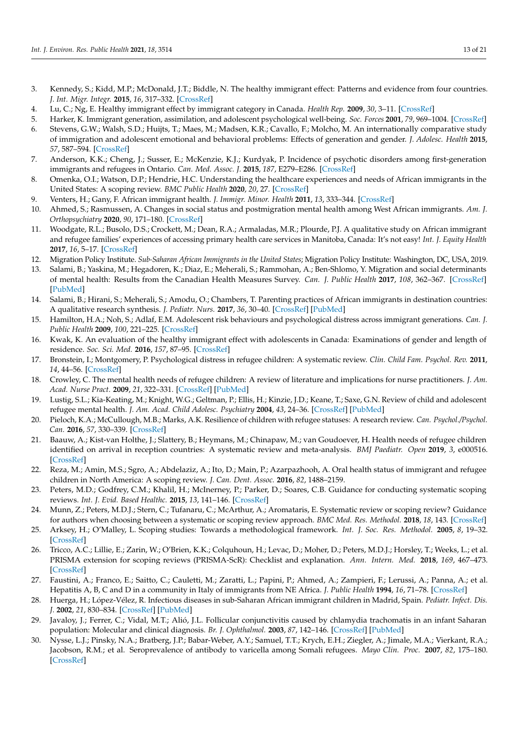- 3. Kennedy, S.; Kidd, M.P.; McDonald, J.T.; Biddle, N. The healthy immigrant effect: Patterns and evidence from four countries. *J. Int. Migr. Integr.* **2015**, *16*, 317–332. [\[CrossRef\]](http://doi.org/10.1007/s12134-014-0340-x)
- <span id="page-12-0"></span>4. Lu, C.; Ng, E. Healthy immigrant effect by immigrant category in Canada. *Health Rep.* **2009**, *30*, 3–11. [\[CrossRef\]](http://doi.org/10.25318/82-003-x201900400001)
- <span id="page-12-1"></span>5. Harker, K. Immigrant generation, assimilation, and adolescent psychological well-being. *Soc. Forces* **2001**, *79*, 969–1004. [\[CrossRef\]](http://doi.org/10.1353/sof.2001.0010)
- <span id="page-12-2"></span>6. Stevens, G.W.; Walsh, S.D.; Huijts, T.; Maes, M.; Madsen, K.R.; Cavallo, F.; Molcho, M. An internationally comparative study of immigration and adolescent emotional and behavioral problems: Effects of generation and gender. *J. Adolesc. Health* **2015**, *57*, 587–594. [\[CrossRef\]](http://doi.org/10.1016/j.jadohealth.2015.07.001)
- <span id="page-12-3"></span>7. Anderson, K.K.; Cheng, J.; Susser, E.; McKenzie, K.J.; Kurdyak, P. Incidence of psychotic disorders among first-generation immigrants and refugees in Ontario. *Can. Med. Assoc. J.* **2015**, *187*, E279–E286. [\[CrossRef\]](http://doi.org/10.1503/cmaj.141420)
- <span id="page-12-4"></span>8. Omenka, O.I.; Watson, D.P.; Hendrie, H.C. Understanding the healthcare experiences and needs of African immigrants in the United States: A scoping review. *BMC Public Health* **2020**, *20*, 27. [\[CrossRef\]](http://doi.org/10.1186/s12889-019-8127-9)
- <span id="page-12-5"></span>9. Venters, H.; Gany, F. African immigrant health. *J. Immigr. Minor. Health* **2011**, *13*, 333–344. [\[CrossRef\]](http://doi.org/10.1007/s10903-009-9243-x)
- <span id="page-12-6"></span>10. Ahmed, S.; Rasmussen, A. Changes in social status and postmigration mental health among West African immigrants. *Am. J. Orthopsychiatry* **2020**, *90*, 171–180. [\[CrossRef\]](http://doi.org/10.1037/ort0000419)
- <span id="page-12-7"></span>11. Woodgate, R.L.; Busolo, D.S.; Crockett, M.; Dean, R.A.; Armaladas, M.R.; Plourde, P.J. A qualitative study on African immigrant and refugee families' experiences of accessing primary health care services in Manitoba, Canada: It's not easy! *Int. J. Equity Health* **2017**, *16*, 5–17. [\[CrossRef\]](http://doi.org/10.1186/s12939-016-0510-x)
- <span id="page-12-8"></span>12. Migration Policy Institute. *Sub-Saharan African Immigrants in the United States*; Migration Policy Institute: Washington, DC, USA, 2019.
- <span id="page-12-9"></span>13. Salami, B.; Yaskina, M.; Hegadoren, K.; Diaz, E.; Meherali, S.; Rammohan, A.; Ben-Shlomo, Y. Migration and social determinants of mental health: Results from the Canadian Health Measures Survey. *Can. J. Public Health* **2017**, *108*, 362–367. [\[CrossRef\]](http://doi.org/10.17269/CJPH.108.6105) [\[PubMed\]](http://www.ncbi.nlm.nih.gov/pubmed/29120306)
- <span id="page-12-10"></span>14. Salami, B.; Hirani, S.; Meherali, S.; Amodu, O.; Chambers, T. Parenting practices of African immigrants in destination countries: A qualitative research synthesis. *J. Pediatr. Nurs.* **2017**, *36*, 30–40. [\[CrossRef\]](http://doi.org/10.1016/j.pedn.2017.04.016) [\[PubMed\]](http://www.ncbi.nlm.nih.gov/pubmed/28888504)
- <span id="page-12-11"></span>15. Hamilton, H.A.; Noh, S.; Adlaf, E.M. Adolescent risk behaviours and psychological distress across immigrant generations. *Can. J. Public Health* **2009**, *100*, 221–225. [\[CrossRef\]](http://doi.org/10.1007/BF03405545)
- <span id="page-12-12"></span>16. Kwak, K. An evaluation of the healthy immigrant effect with adolescents in Canada: Examinations of gender and length of residence. *Soc. Sci. Med.* **2016**, *157*, 87–95. [\[CrossRef\]](http://doi.org/10.1016/j.socscimed.2016.03.017)
- <span id="page-12-13"></span>17. Bronstein, I.; Montgomery, P. Psychological distress in refugee children: A systematic review. *Clin. Child Fam. Psychol. Rev.* **2011**, *14*, 44–56. [\[CrossRef\]](http://doi.org/10.1007/s10567-010-0081-0)
- 18. Crowley, C. The mental health needs of refugee children: A review of literature and implications for nurse practitioners. *J. Am. Acad. Nurse Pract.* **2009**, *21*, 322–331. [\[CrossRef\]](http://doi.org/10.1111/j.1745-7599.2009.00413.x) [\[PubMed\]](http://www.ncbi.nlm.nih.gov/pubmed/19527311)
- <span id="page-12-14"></span>19. Lustig, S.L.; Kia-Keating, M.; Knight, W.G.; Geltman, P.; Ellis, H.; Kinzie, J.D.; Keane, T.; Saxe, G.N. Review of child and adolescent refugee mental health. *J. Am. Acad. Child Adolesc. Psychiatry* **2004**, *43*, 24–36. [\[CrossRef\]](http://doi.org/10.1097/00004583-200401000-00012) [\[PubMed\]](http://www.ncbi.nlm.nih.gov/pubmed/14691358)
- <span id="page-12-15"></span>20. Pieloch, K.A.; McCullough, M.B.; Marks, A.K. Resilience of children with refugee statuses: A research review. *Can. Psychol./Psychol. Can.* **2016**, *57*, 330–339. [\[CrossRef\]](http://doi.org/10.1037/cap0000073)
- <span id="page-12-16"></span>21. Baauw, A.; Kist-van Holthe, J.; Slattery, B.; Heymans, M.; Chinapaw, M.; van Goudoever, H. Health needs of refugee children identified on arrival in reception countries: A systematic review and meta-analysis. *BMJ Paediatr. Open* **2019**, *3*, e000516. [\[CrossRef\]](http://doi.org/10.1136/bmjpo-2019-000516)
- <span id="page-12-17"></span>22. Reza, M.; Amin, M.S.; Sgro, A.; Abdelaziz, A.; Ito, D.; Main, P.; Azarpazhooh, A. Oral health status of immigrant and refugee children in North America: A scoping review. *J. Can. Dent. Assoc.* **2016**, *82*, 1488–2159.
- <span id="page-12-18"></span>23. Peters, M.D.; Godfrey, C.M.; Khalil, H.; McInerney, P.; Parker, D.; Soares, C.B. Guidance for conducting systematic scoping reviews. *Int. J. Evid. Based Healthc.* **2015**, *13*, 141–146. [\[CrossRef\]](http://doi.org/10.1097/XEB.0000000000000050)
- <span id="page-12-19"></span>24. Munn, Z.; Peters, M.D.J.; Stern, C.; Tufanaru, C.; McArthur, A.; Aromataris, E. Systematic review or scoping review? Guidance for authors when choosing between a systematic or scoping review approach. *BMC Med. Res. Methodol.* **2018**, *18*, 143. [\[CrossRef\]](http://doi.org/10.1186/s12874-018-0611-x)
- <span id="page-12-20"></span>25. Arksey, H.; O'Malley, L. Scoping studies: Towards a methodological framework. *Int. J. Soc. Res. Methodol.* **2005**, *8*, 19–32. [\[CrossRef\]](http://doi.org/10.1080/1364557032000119616)
- <span id="page-12-21"></span>26. Tricco, A.C.; Lillie, E.; Zarin, W.; O'Brien, K.K.; Colquhoun, H.; Levac, D.; Moher, D.; Peters, M.D.J.; Horsley, T.; Weeks, L.; et al. PRISMA extension for scoping reviews (PRISMA-ScR): Checklist and explanation. *Ann. Intern. Med.* **2018**, *169*, 467–473. [\[CrossRef\]](http://doi.org/10.7326/M18-0850)
- <span id="page-12-22"></span>27. Faustini, A.; Franco, E.; Saitto, C.; Cauletti, M.; Zaratti, L.; Papini, P.; Ahmed, A.; Zampieri, F.; Lerussi, A.; Panna, A.; et al. Hepatitis A, B, C and D in a community in Italy of immigrants from NE Africa. *J. Public Health* **1994**, *16*, 71–78. [\[CrossRef\]](http://doi.org/10.1093/oxfordjournals.pubmed.a042938)
- <span id="page-12-23"></span>28. Huerga, H.; López-Vélez, R. Infectious diseases in sub-Saharan African immigrant children in Madrid, Spain. *Pediatr. Infect. Dis. J.* **2002**, *21*, 830–834. [\[CrossRef\]](http://doi.org/10.1097/00006454-200209000-00009) [\[PubMed\]](http://www.ncbi.nlm.nih.gov/pubmed/12352804)
- <span id="page-12-24"></span>29. Javaloy, J.; Ferrer, C.; Vidal, M.T.; Alió, J.L. Follicular conjunctivitis caused by chlamydia trachomatis in an infant Saharan population: Molecular and clinical diagnosis. *Br. J. Ophthalmol.* **2003**, *87*, 142–146. [\[CrossRef\]](http://doi.org/10.1136/bjo.87.2.142) [\[PubMed\]](http://www.ncbi.nlm.nih.gov/pubmed/12543737)
- <span id="page-12-25"></span>30. Nysse, L.J.; Pinsky, N.A.; Bratberg, J.P.; Babar-Weber, A.Y.; Samuel, T.T.; Krych, E.H.; Ziegler, A.; Jimale, M.A.; Vierkant, R.A.; Jacobson, R.M.; et al. Seroprevalence of antibody to varicella among Somali refugees. *Mayo Clin. Proc.* **2007**, *82*, 175–180. [\[CrossRef\]](http://doi.org/10.1016/S0025-6196(11)60995-6)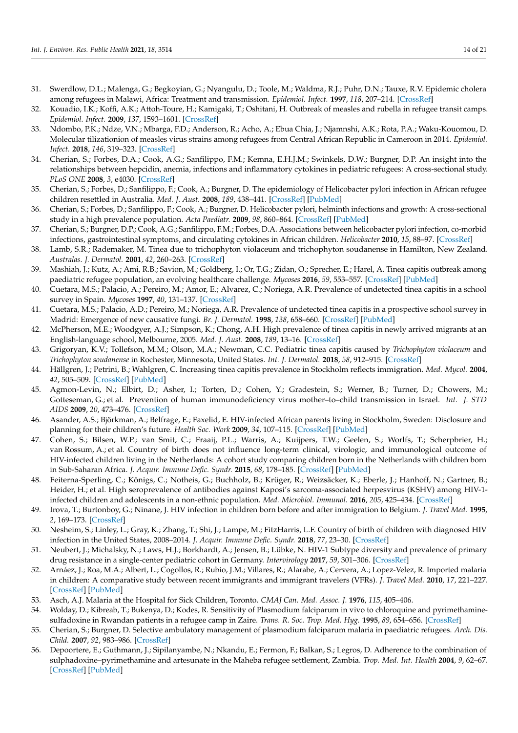- <span id="page-13-6"></span>31. Swerdlow, D.L.; Malenga, G.; Begkoyian, G.; Nyangulu, D.; Toole, M.; Waldma, R.J.; Puhr, D.N.; Tauxe, R.V. Epidemic cholera among refugees in Malawi, Africa: Treatment and transmission. *Epidemiol. Infect.* **1997**, *118*, 207–214. [\[CrossRef\]](http://doi.org/10.1017/S0950268896007352)
- <span id="page-13-7"></span>32. Kouadio, I.K.; Koffi, A.K.; Attoh-Toure, H.; Kamigaki, T.; Oshitani, H. Outbreak of measles and rubella in refugee transit camps. *Epidemiol. Infect.* **2009**, *137*, 1593–1601. [\[CrossRef\]](http://doi.org/10.1017/S0950268809002520)
- <span id="page-13-8"></span>33. Ndombo, P.K.; Ndze, V.N.; Mbarga, F.D.; Anderson, R.; Acho, A.; Ebua Chia, J.; Njamnshi, A.K.; Rota, P.A.; Waku-Kouomou, D. Molecular tilizationion of measles virus strains among refugees from Central African Republic in Cameroon in 2014. *Epidemiol. Infect.* **2018**, *146*, 319–323. [\[CrossRef\]](http://doi.org/10.1017/S0950268817002990)
- <span id="page-13-9"></span>34. Cherian, S.; Forbes, D.A.; Cook, A.G.; Sanfilippo, F.M.; Kemna, E.H.J.M.; Swinkels, D.W.; Burgner, D.P. An insight into the relationships between hepcidin, anemia, infections and inflammatory cytokines in pediatric refugees: A cross-sectional study. *PLoS ONE* **2008**, *3*, e4030. [\[CrossRef\]](http://doi.org/10.1371/journal.pone.0004030)
- <span id="page-13-19"></span>35. Cherian, S.; Forbes, D.; Sanfilippo, F.; Cook, A.; Burgner, D. The epidemiology of Helicobacter pylori infection in African refugee children resettled in Australia. *Med. J. Aust.* **2008**, *189*, 438–441. [\[CrossRef\]](http://doi.org/10.5694/j.1326-5377.2008.tb02116.x) [\[PubMed\]](http://www.ncbi.nlm.nih.gov/pubmed/18928436)
- <span id="page-13-20"></span>36. Cherian, S.; Forbes, D.; Sanfilippo, F.; Cook, A.; Burgner, D. Helicobacter pylori, helminth infections and growth: A cross-sectional study in a high prevalence population. *Acta Paediatr.* **2009**, *98*, 860–864. [\[CrossRef\]](http://doi.org/10.1111/j.1651-2227.2009.01221.x) [\[PubMed\]](http://www.ncbi.nlm.nih.gov/pubmed/19191761)
- <span id="page-13-10"></span>37. Cherian, S.; Burgner, D.P.; Cook, A.G.; Sanfilippo, F.M.; Forbes, D.A. Associations between helicobacter pylori infection, co-morbid infections, gastrointestinal symptoms, and circulating cytokines in African children. *Helicobacter* **2010**, *15*, 88–97. [\[CrossRef\]](http://doi.org/10.1111/j.1523-5378.2009.00740.x)
- <span id="page-13-11"></span>38. Lamb, S.R.; Rademaker, M. Tinea due to trichophyton violaceum and trichophyton soudanense in Hamilton, New Zealand. *Australas. J. Dermatol.* **2001**, *42*, 260–263. [\[CrossRef\]](http://doi.org/10.1046/j.1440-0960.2001.00532.x)
- <span id="page-13-12"></span>39. Mashiah, J.; Kutz, A.; Ami, R.B.; Savion, M.; Goldberg, I.; Or, T.G.; Zidan, O.; Sprecher, E.; Harel, A. Tinea capitis outbreak among paediatric refugee population, an evolving healthcare challenge. *Mycoses* **2016**, *59*, 553–557. [\[CrossRef\]](http://doi.org/10.1111/myc.12501) [\[PubMed\]](http://www.ncbi.nlm.nih.gov/pubmed/27061446)
- <span id="page-13-13"></span>40. Cuetara, M.S.; Palacio, A.; Pereiro, M.; Amor, E.; Alvarez, C.; Noriega, A.R. Prevalence of undetected tinea capitis in a school survey in Spain. *Mycoses* **1997**, *40*, 131–137. [\[CrossRef\]](http://doi.org/10.1111/j.1439-0507.1997.tb00202.x)
- <span id="page-13-14"></span>41. Cuetara, M.S.; Palacio, A.D.; Pereiro, M.; Noriega, A.R. Prevalence of undetected tinea capitis in a prospective school survey in Madrid: Emergence of new causative fungi. *Br. J. Dermatol.* **1998**, *138*, 658–660. [\[CrossRef\]](http://doi.org/10.1046/j.1365-2133.1998.02181.x) [\[PubMed\]](http://www.ncbi.nlm.nih.gov/pubmed/9640375)
- <span id="page-13-15"></span>42. McPherson, M.E.; Woodgyer, A.J.; Simpson, K.; Chong, A.H. High prevalence of tinea capitis in newly arrived migrants at an English-language school, Melbourne, 2005. *Med. J. Aust.* **2008**, *189*, 13–16. [\[CrossRef\]](http://doi.org/10.5694/j.1326-5377.2008.tb01887.x)
- <span id="page-13-16"></span>43. Grigoryan, K.V.; Tollefson, M.M.; Olson, M.A.; Newman, C.C. Pediatric tinea capitis caused by *Trichophyton violaceum* and *Trichophyton soudanense* in Rochester, Minnesota, United States. *Int. J. Dermatol.* **2018**, *58*, 912–915. [\[CrossRef\]](http://doi.org/10.1111/ijd.14352)
- <span id="page-13-17"></span>44. Hällgren, J.; Petrini, B.; Wahlgren, C. Increasing tinea capitis prevalence in Stockholm reflects immigration. *Med. Mycol.* **2004**, *42*, 505–509. [\[CrossRef\]](http://doi.org/10.1080/13693780310001644725) [\[PubMed\]](http://www.ncbi.nlm.nih.gov/pubmed/15682638)
- <span id="page-13-1"></span>45. Agmon-Levin, N.; Elbirt, D.; Asher, I.; Torten, D.; Cohen, Y.; Gradestein, S.; Werner, B.; Turner, D.; Chowers, M.; Gotteseman, G.; et al. Prevention of human immunodeficiency virus mother–to–child transmission in Israel. *Int. J. STD AIDS* **2009**, *20*, 473–476. [\[CrossRef\]](http://doi.org/10.1258/ijsa.2008.008392)
- <span id="page-13-5"></span>46. Asander, A.S.; Björkman, A.; Belfrage, E.; Faxelid, E. HIV-infected African parents living in Stockholm, Sweden: Disclosure and planning for their children's future. *Health Soc. Work* **2009**, *34*, 107–115. [\[CrossRef\]](http://doi.org/10.1093/hsw/34.2.107) [\[PubMed\]](http://www.ncbi.nlm.nih.gov/pubmed/19425340)
- <span id="page-13-4"></span>47. Cohen, S.; Bilsen, W.P.; van Smit, C.; Fraaij, P.L.; Warris, A.; Kuijpers, T.W.; Geelen, S.; Worlfs, T.; Scherpbrier, H.; van Rossum, A.; et al. Country of birth does not influence long-term clinical, virologic, and immunological outcome of HIV-infected children living in the Netherlands: A cohort study comparing children born in the Netherlands with children born in Sub-Saharan Africa. *J. Acquir. Immune Defic. Syndr.* **2015**, *68*, 178–185. [\[CrossRef\]](http://doi.org/10.1097/QAI.0000000000000431) [\[PubMed\]](http://www.ncbi.nlm.nih.gov/pubmed/25405830)
- <span id="page-13-3"></span>48. Feiterna-Sperling, C.; Königs, C.; Notheis, G.; Buchholz, B.; Krüger, R.; Weizsäcker, K.; Eberle, J.; Hanhoff, N.; Gartner, B.; Heider, H.; et al. High seroprevalence of antibodies against Kaposi's sarcoma-associated herpesvirus (KSHV) among HIV-1 infected children and adolescents in a non-ethnic population. *Med. Microbiol. Immunol.* **2016**, *205*, 425–434. [\[CrossRef\]](http://doi.org/10.1007/s00430-016-0458-x)
- 49. Irova, T.; Burtonboy, G.; Ninane, J. HIV infection in children born before and after immigration to Belgium. *J. Travel Med.* **1995**, *2*, 169–173. [\[CrossRef\]](http://doi.org/10.1111/j.1708-8305.1995.tb00646.x)
- <span id="page-13-2"></span>50. Nesheim, S.; Linley, L.; Gray, K.; Zhang, T.; Shi, J.; Lampe, M.; FitzHarris, L.F. Country of birth of children with diagnosed HIV infection in the United States, 2008–2014. *J. Acquir. Immune Defic. Syndr.* **2018**, *77*, 23–30. [\[CrossRef\]](http://doi.org/10.1097/QAI.0000000000001572)
- <span id="page-13-0"></span>51. Neubert, J.; Michalsky, N.; Laws, H.J.; Borkhardt, A.; Jensen, B.; Lübke, N. HIV-1 Subtype diversity and prevalence of primary drug resistance in a single-center pediatric cohort in Germany. *Intervirology* **2017**, *59*, 301–306. [\[CrossRef\]](http://doi.org/10.1159/000477811)
- <span id="page-13-18"></span>52. Arnáez, J.; Roa, M.A.; Albert, L.; Cogollos, R.; Rubio, J.M.; Villares, R.; Alarabe, A.; Cervera, A.; Lopez-Velez, R. Imported malaria in children: A comparative study between recent immigrants and immigrant travelers (VFRs). *J. Travel Med.* **2010**, *17*, 221–227. [\[CrossRef\]](http://doi.org/10.1111/j.1708-8305.2010.00416.x) [\[PubMed\]](http://www.ncbi.nlm.nih.gov/pubmed/20636594)
- <span id="page-13-21"></span>53. Asch, A.J. Malaria at the Hospital for Sick Children, Toronto. *CMAJ Can. Med. Assoc. J.* **1976**, *115*, 405–406.
- <span id="page-13-22"></span>54. Wolday, D.; Kibreab, T.; Bukenya, D.; Kodes, R. Sensitivity of Plasmodium falciparum in vivo to chloroquine and pyrimethaminesulfadoxine in Rwandan patients in a refugee camp in Zaire. *Trans. R. Soc. Trop. Med. Hyg.* **1995**, *89*, 654–656. [\[CrossRef\]](http://doi.org/10.1016/0035-9203(95)90431-X)
- <span id="page-13-23"></span>55. Cherian, S.; Burgner, D. Selective ambulatory management of plasmodium falciparum malaria in paediatric refugees. *Arch. Dis. Child.* **2007**, *92*, 983–986. [\[CrossRef\]](http://doi.org/10.1136/adc.2006.114801)
- <span id="page-13-24"></span>56. Depoortere, E.; Guthmann, J.; Sipilanyambe, N.; Nkandu, E.; Fermon, F.; Balkan, S.; Legros, D. Adherence to the combination of sulphadoxine–pyrimethamine and artesunate in the Maheba refugee settlement, Zambia. *Trop. Med. Int. Health* **2004**, *9*, 62–67. [\[CrossRef\]](http://doi.org/10.1046/j.1365-3156.2003.01157.x) [\[PubMed\]](http://www.ncbi.nlm.nih.gov/pubmed/14728608)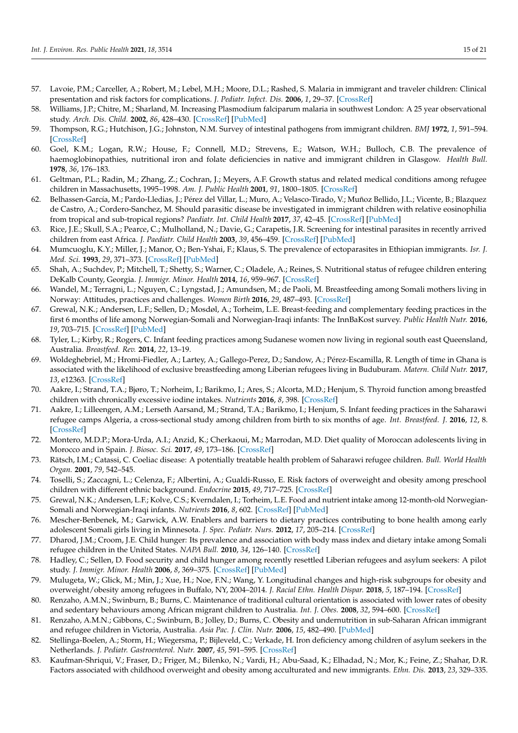- 57. Lavoie, P.M.; Carceller, A.; Robert, M.; Lebel, M.H.; Moore, D.L.; Rashed, S. Malaria in immigrant and traveler children: Clinical presentation and risk factors for complications. *J. Pediatr. Infect. Dis.* **2006**, *1*, 29–37. [\[CrossRef\]](http://doi.org/10.1055/s-0035-1557058)
- <span id="page-14-0"></span>58. Williams, J.P.; Chitre, M.; Sharland, M. Increasing Plasmodium falciparum malaria in southwest London: A 25 year observational study. *Arch. Dis. Child.* **2002**, *86*, 428–430. [\[CrossRef\]](http://doi.org/10.1136/adc.86.6.428) [\[PubMed\]](http://www.ncbi.nlm.nih.gov/pubmed/12023177)
- <span id="page-14-1"></span>59. Thompson, R.G.; Hutchison, J.G.; Johnston, N.M. Survey of intestinal pathogens from immigrant children. *BMJ* **1972**, *1*, 591–594. [\[CrossRef\]](http://doi.org/10.1136/bmj.1.5800.591)
- <span id="page-14-2"></span>60. Goel, K.M.; Logan, R.W.; House, F.; Connell, M.D.; Strevens, E.; Watson, W.H.; Bulloch, C.B. The prevalence of haemoglobinopathies, nutritional iron and folate deficiencies in native and immigrant children in Glasgow. *Health Bull.* **1978**, *36*, 176–183.
- <span id="page-14-4"></span>61. Geltman, P.L.; Radin, M.; Zhang, Z.; Cochran, J.; Meyers, A.F. Growth status and related medical conditions among refugee children in Massachusetts, 1995–1998. *Am. J. Public Health* **2001**, *91*, 1800–1805. [\[CrossRef\]](http://doi.org/10.2105/AJPH.91.11.1800)
- <span id="page-14-7"></span>62. Belhassen-García, M.; Pardo-Lledias, J.; Pérez del Villar, L.; Muro, A.; Velasco-Tirado, V.; Muñoz Bellido, J.L.; Vicente, B.; Blazquez de Castro, A.; Cordero-Sanchez, M. Should parasitic disease be investigated in immigrant children with relative eosinophilia from tropical and sub-tropical regions? *Paediatr. Int. Child Health* **2017**, *37*, 42–45. [\[CrossRef\]](http://doi.org/10.1080/20469047.2015.1109802) [\[PubMed\]](http://www.ncbi.nlm.nih.gov/pubmed/26750778)
- <span id="page-14-5"></span>63. Rice, J.E.; Skull, S.A.; Pearce, C.; Mulholland, N.; Davie, G.; Carapetis, J.R. Screening for intestinal parasites in recently arrived children from east Africa. *J. Paediatr. Child Health* **2003**, *39*, 456–459. [\[CrossRef\]](http://doi.org/10.1046/j.1440-1754.2003.00188.x) [\[PubMed\]](http://www.ncbi.nlm.nih.gov/pubmed/12919501)
- <span id="page-14-3"></span>64. Mumcuoglu, K.Y.; Miller, J.; Manor, O.; Ben-Yshai, F.; Klaus, S. The prevalence of ectoparasites in Ethiopian immigrants. *Isr. J. Med. Sci.* **1993**, *29*, 371–373. [\[CrossRef\]](http://doi.org/10.1111/j.1365-2133.2005.06591.x) [\[PubMed\]](http://www.ncbi.nlm.nih.gov/pubmed/8349453)
- <span id="page-14-6"></span>65. Shah, A.; Suchdev, P.; Mitchell, T.; Shetty, S.; Warner, C.; Oladele, A.; Reines, S. Nutritional status of refugee children entering DeKalb County, Georgia. *J. Immigr. Minor. Health* **2014**, *16*, 959–967. [\[CrossRef\]](http://doi.org/10.1007/s10903-013-9867-8)
- <span id="page-14-8"></span>66. Wandel, M.; Terragni, L.; Nguyen, C.; Lyngstad, J.; Amundsen, M.; de Paoli, M. Breastfeeding among Somali mothers living in Norway: Attitudes, practices and challenges. *Women Birth* **2016**, *29*, 487–493. [\[CrossRef\]](http://doi.org/10.1016/j.wombi.2016.04.006)
- <span id="page-14-9"></span>67. Grewal, N.K.; Andersen, L.F.; Sellen, D.; Mosdøl, A.; Torheim, L.E. Breast-feeding and complementary feeding practices in the first 6 months of life among Norwegian-Somali and Norwegian-Iraqi infants: The InnBaKost survey. *Public Health Nutr.* **2016**, *19*, 703–715. [\[CrossRef\]](http://doi.org/10.1017/S1368980015001962) [\[PubMed\]](http://www.ncbi.nlm.nih.gov/pubmed/26105703)
- <span id="page-14-10"></span>68. Tyler, L.; Kirby, R.; Rogers, C. Infant feeding practices among Sudanese women now living in regional south east Queensland, Australia. *Breastfeed. Rev.* **2014**, *22*, 13–19.
- <span id="page-14-11"></span>69. Woldeghebriel, M.; Hromi-Fiedler, A.; Lartey, A.; Gallego-Perez, D.; Sandow, A.; Pérez-Escamilla, R. Length of time in Ghana is associated with the likelihood of exclusive breastfeeding among Liberian refugees living in Buduburam. *Matern. Child Nutr.* **2017**, *13*, e12363. [\[CrossRef\]](http://doi.org/10.1111/mcn.12363)
- <span id="page-14-12"></span>70. Aakre, I.; Strand, T.A.; Bjøro, T.; Norheim, I.; Barikmo, I.; Ares, S.; Alcorta, M.D.; Henjum, S. Thyroid function among breastfed children with chronically excessive iodine intakes. *Nutrients* **2016**, *8*, 398. [\[CrossRef\]](http://doi.org/10.3390/nu8070398)
- <span id="page-14-13"></span>71. Aakre, I.; Lilleengen, A.M.; Lerseth Aarsand, M.; Strand, T.A.; Barikmo, I.; Henjum, S. Infant feeding practices in the Saharawi refugee camps Algeria, a cross-sectional study among children from birth to six months of age. *Int. Breastfeed. J.* **2016**, *12*, 8. [\[CrossRef\]](http://doi.org/10.1186/s13006-016-0098-1)
- <span id="page-14-14"></span>72. Montero, M.D.P.; Mora-Urda, A.I.; Anzid, K.; Cherkaoui, M.; Marrodan, M.D. Diet quality of Moroccan adolescents living in Morocco and in Spain. *J. Biosoc. Sci.* **2017**, *49*, 173–186. [\[CrossRef\]](http://doi.org/10.1017/S0021932016000183)
- <span id="page-14-15"></span>73. Rätsch, I.M.; Catassi, C. Coeliac disease: A potentially treatable health problem of Saharawi refugee children. *Bull. World Health Organ.* **2001**, *79*, 542–545.
- <span id="page-14-16"></span>74. Toselli, S.; Zaccagni, L.; Celenza, F.; Albertini, A.; Gualdi-Russo, E. Risk factors of overweight and obesity among preschool children with different ethnic background. *Endocrine* **2015**, *49*, 717–725. [\[CrossRef\]](http://doi.org/10.1007/s12020-014-0479-4)
- <span id="page-14-17"></span>75. Grewal, N.K.; Andersen, L.F.; Kolve, C.S.; Kverndalen, I.; Torheim, L.E. Food and nutrient intake among 12-month-old Norwegian-Somali and Norwegian-Iraqi infants. *Nutrients* **2016**, *8*, 602. [\[CrossRef\]](http://doi.org/10.3390/nu8100602) [\[PubMed\]](http://www.ncbi.nlm.nih.gov/pubmed/27690092)
- <span id="page-14-18"></span>76. Mescher-Benbenek, M.; Garwick, A.W. Enablers and barriers to dietary practices contributing to bone health among early adolescent Somali girls living in Minnesota. *J. Spec. Pediatr. Nurs.* **2012**, *17*, 205–214. [\[CrossRef\]](http://doi.org/10.1111/j.1744-6155.2012.00334.x)
- <span id="page-14-19"></span>77. Dharod, J.M.; Croom, J.E. Child hunger: Its prevalence and association with body mass index and dietary intake among Somali refugee children in the United States. *NAPA Bull.* **2010**, *34*, 126–140. [\[CrossRef\]](http://doi.org/10.1111/j.1556-4797.2010.01055.x)
- <span id="page-14-20"></span>78. Hadley, C.; Sellen, D. Food security and child hunger among recently resettled Liberian refugees and asylum seekers: A pilot study. *J. Immigr. Minor. Health* **2006**, *8*, 369–375. [\[CrossRef\]](http://doi.org/10.1007/s10903-006-9007-9) [\[PubMed\]](http://www.ncbi.nlm.nih.gov/pubmed/16924410)
- <span id="page-14-21"></span>79. Mulugeta, W.; Glick, M.; Min, J.; Xue, H.; Noe, F.N.; Wang, Y. Longitudinal changes and high-risk subgroups for obesity and overweight/obesity among refugees in Buffalo, NY, 2004–2014. *J. Racial Ethn. Health Dispar.* **2018**, *5*, 187–194. [\[CrossRef\]](http://doi.org/10.1007/s40615-017-0356-y)
- <span id="page-14-22"></span>80. Renzaho, A.M.N.; Swinburn, B.; Burns, C. Maintenance of traditional cultural orientation is associated with lower rates of obesity and sedentary behaviours among African migrant children to Australia. *Int. J. Obes.* **2008**, *32*, 594–600. [\[CrossRef\]](http://doi.org/10.1038/ijo.2008.2)
- <span id="page-14-24"></span>81. Renzaho, A.M.N.; Gibbons, C.; Swinburn, B.; Jolley, D.; Burns, C. Obesity and undernutrition in sub-Saharan African immigrant and refugee children in Victoria, Australia. *Asia Pac. J. Clin. Nutr.* **2006**, *15*, 482–490. [\[PubMed\]](http://www.ncbi.nlm.nih.gov/pubmed/17077063)
- 82. Stellinga-Boelen, A.; Storm, H.; Wiegersma, P.; Bijleveld, C.; Verkade, H. Iron deficiency among children of asylum seekers in the Netherlands. *J. Pediatr. Gastroenterol. Nutr.* **2007**, *45*, 591–595. [\[CrossRef\]](http://doi.org/10.1097/MPG.0b013e31810e76a5)
- <span id="page-14-23"></span>83. Kaufman-Shriqui, V.; Fraser, D.; Friger, M.; Bilenko, N.; Vardi, H.; Abu-Saad, K.; Elhadad, N.; Mor, K.; Feine, Z.; Shahar, D.R. Factors associated with childhood overweight and obesity among acculturated and new immigrants. *Ethn. Dis.* **2013**, *23*, 329–335.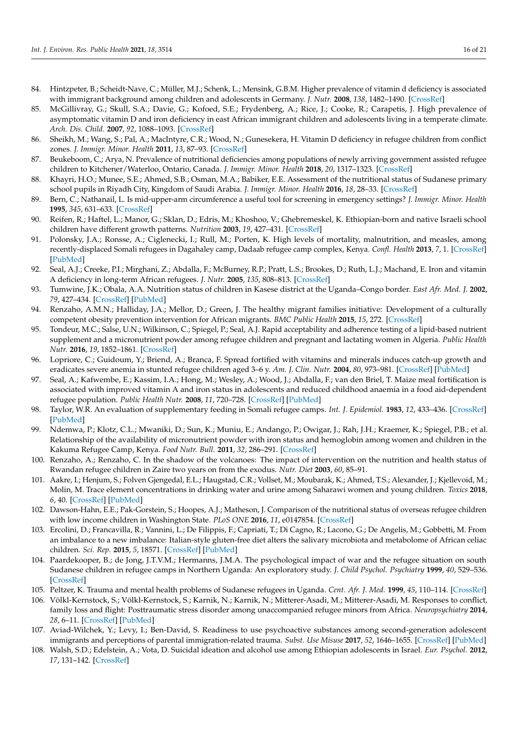- <span id="page-15-1"></span>84. Hintzpeter, B.; Scheidt-Nave, C.; Müller, M.J.; Schenk, L.; Mensink, G.B.M. Higher prevalence of vitamin d deficiency is associated with immigrant background among children and adolescents in Germany. *J. Nutr.* **2008**, *138*, 1482–1490. [\[CrossRef\]](http://doi.org/10.1093/jn/138.8.1482)
- <span id="page-15-2"></span>85. McGillivray, G.; Skull, S.A.; Davie, G.; Kofoed, S.E.; Frydenberg, A.; Rice, J.; Cooke, R.; Carapetis, J. High prevalence of asymptomatic vitamin D and iron deficiency in east African immigrant children and adolescents living in a temperate climate. *Arch. Dis. Child.* **2007**, *92*, 1088–1093. [\[CrossRef\]](http://doi.org/10.1136/adc.2006.112813)
- 86. Sheikh, M.; Wang, S.; Pal, A.; MacIntyre, C.R.; Wood, N.; Gunesekera, H. Vitamin D deficiency in refugee children from conflict zones. *J. Immigr. Minor. Health* **2011**, *13*, 87–93. [\[CrossRef\]](http://doi.org/10.1007/s10903-010-9325-9)
- <span id="page-15-3"></span>87. Beukeboom, C.; Arya, N. Prevalence of nutritional deficiencies among populations of newly arriving government assisted refugee children to Kitchener/Waterloo, Ontario, Canada. *J. Immigr. Minor. Health* **2018**, *20*, 1317–1323. [\[CrossRef\]](http://doi.org/10.1007/s10903-018-0730-9)
- <span id="page-15-4"></span>88. Khayri, H.O.; Munee, S.E.; Ahmed, S.B.; Osman, M.A.; Babiker, E.E. Assessment of the nutritional status of Sudanese primary school pupils in Riyadh City, Kingdom of Saudi Arabia. *J. Immigr. Minor. Health* **2016**, *18*, 28–33. [\[CrossRef\]](http://doi.org/10.1007/s10903-014-0135-3)
- <span id="page-15-5"></span>89. Bern, C.; Nathanail, L. Is mid-upper-arm circumference a useful tool for screening in emergency settings? *J. Immigr. Minor. Health* **1995**, *345*, 631–633. [\[CrossRef\]](http://doi.org/10.1016/S0140-6736(95)90527-8)
- <span id="page-15-6"></span>90. Reifen, R.; Haftel, L.; Manor, G.; Sklan, D.; Edris, M.; Khoshoo, V.; Ghebremeskel, K. Ethiopian-born and native Israeli school children have different growth patterns. *Nutrition* **2003**, *19*, 427–431. [\[CrossRef\]](http://doi.org/10.1016/S0899-9007(02)00943-7)
- <span id="page-15-7"></span>91. Polonsky, J.A.; Ronsse, A.; Ciglenecki, I.; Rull, M.; Porten, K. High levels of mortality, malnutrition, and measles, among recently-displaced Somali refugees in Dagahaley camp, Dadaab refugee camp complex, Kenya. *Confl. Health* **2013**, *7*, 1. [\[CrossRef\]](http://doi.org/10.1186/1752-1505-7-1) [\[PubMed\]](http://www.ncbi.nlm.nih.gov/pubmed/23339463)
- <span id="page-15-8"></span>92. Seal, A.J.; Creeke, P.I.; Mirghani, Z.; Abdalla, F.; McBurney, R.P.; Pratt, L.S.; Brookes, D.; Ruth, L.J.; Machand, E. Iron and vitamin A deficiency in long-term African refugees. *J. Nutr.* **2005**, *135*, 808–813. [\[CrossRef\]](http://doi.org/10.1093/jn/135.4.808)
- <span id="page-15-9"></span>93. Tumwine, J.K.; Obala, A.A. Nutrition status of children in Kasese district at the Uganda–Congo border. *East Afr. Med. J.* **2002**, *79*, 427–434. [\[CrossRef\]](http://doi.org/10.4314/eamj.v79i8.8830) [\[PubMed\]](http://www.ncbi.nlm.nih.gov/pubmed/12638845)
- <span id="page-15-10"></span>94. Renzaho, A.M.N.; Halliday, J.A.; Mellor, D.; Green, J. The healthy migrant families initiative: Development of a culturally competent obesity prevention intervention for African migrants. *BMC Public Health* **2015**, *15*, 272. [\[CrossRef\]](http://doi.org/10.1186/s12889-015-1628-2)
- <span id="page-15-11"></span>95. Tondeur, M.C.; Salse, U.N.; Wilkinson, C.; Spiegel, P.; Seal, A.J. Rapid acceptability and adherence testing of a lipid-based nutrient supplement and a micronutrient powder among refugee children and pregnant and lactating women in Algeria. *Public Health Nutr.* **2016**, *19*, 1852–1861. [\[CrossRef\]](http://doi.org/10.1017/S136898001600029X)
- <span id="page-15-12"></span>96. Lopriore, C.; Guidoum, Y.; Briend, A.; Branca, F. Spread fortified with vitamins and minerals induces catch-up growth and eradicates severe anemia in stunted refugee children aged 3–6 y. *Am. J. Clin. Nutr.* **2004**, *80*, 973–981. [\[CrossRef\]](http://doi.org/10.1093/ajcn/80.4.973) [\[PubMed\]](http://www.ncbi.nlm.nih.gov/pubmed/15447908)
- <span id="page-15-13"></span>97. Seal, A.; Kafwembe, E.; Kassim, I.A.; Hong, M.; Wesley, A.; Wood, J.; Abdalla, F.; van den Briel, T. Maize meal fortification is associated with improved vitamin A and iron status in adolescents and reduced childhood anaemia in a food aid-dependent refugee population. *Public Health Nutr.* **2008**, *11*, 720–728. [\[CrossRef\]](http://doi.org/10.1017/S1368980007001486) [\[PubMed\]](http://www.ncbi.nlm.nih.gov/pubmed/18096105)
- <span id="page-15-14"></span>98. Taylor, W.R. An evaluation of supplementary feeding in Somali refugee camps. *Int. J. Epidemiol.* **1983**, *12*, 433–436. [\[CrossRef\]](http://doi.org/10.1093/ije/12.4.433) [\[PubMed\]](http://www.ncbi.nlm.nih.gov/pubmed/6654563)
- <span id="page-15-15"></span>99. Ndemwa, P.; Klotz, C.L.; Mwaniki, D.; Sun, K.; Muniu, E.; Andango, P.; Owigar, J.; Rah, J.H.; Kraemer, K.; Spiegel, P.B.; et al. Relationship of the availability of micronutrient powder with iron status and hemoglobin among women and children in the Kakuma Refugee Camp, Kenya. *Food Nutr. Bull.* **2011**, *32*, 286–291. [\[CrossRef\]](http://doi.org/10.1177/156482651103200314)
- <span id="page-15-16"></span>100. Renzaho, A.; Renzaho, C. In the shadow of the volcanoes: The impact of intervention on the nutrition and health status of Rwandan refugee children in Zaire two years on from the exodus. *Nutr. Diet* **2003**, *60*, 85–91.
- <span id="page-15-17"></span>101. Aakre, I.; Henjum, S.; Folven Gjengedal, E.L.; Haugstad, C.R.; Vollset, M.; Moubarak, K.; Ahmed, T.S.; Alexander, J.; Kjellevoid, M.; Molin, M. Trace element concentrations in drinking water and urine among Saharawi women and young children. *Toxics* **2018**, *6*, 40. [\[CrossRef\]](http://doi.org/10.3390/toxics6030040) [\[PubMed\]](http://www.ncbi.nlm.nih.gov/pubmed/30037089)
- 102. Dawson-Hahn, E.E.; Pak-Gorstein, S.; Hoopes, A.J.; Matheson, J. Comparison of the nutritional status of overseas refugee children with low income children in Washington State. *PLoS ONE* **2016**, *11*, e0147854. [\[CrossRef\]](http://doi.org/10.1371/journal.pone.0147854)
- 103. Ercolini, D.; Francavilla, R.; Vannini, L.; De Filippis, F.; Capriati, T.; Di Cagno, R.; Lacono, G.; De Angelis, M.; Gobbetti, M. From an imbalance to a new imbalance: Italian-style gluten-free diet alters the salivary microbiota and metabolome of African celiac children. *Sci. Rep.* **2015**, *5*, 18571. [\[CrossRef\]](http://doi.org/10.1038/srep18571) [\[PubMed\]](http://www.ncbi.nlm.nih.gov/pubmed/26681599)
- <span id="page-15-0"></span>104. Paardekooper, B.; de Jong, J.T.V.M.; Hermanns, J.M.A. The psychological impact of war and the refugee situation on south Sudanese children in refugee camps in Northern Uganda: An exploratory study. *J. Child Psychol. Psychiatry* **1999**, *40*, 529–536. [\[CrossRef\]](http://doi.org/10.1111/1469-7610.00471)
- <span id="page-15-18"></span>105. Peltzer, K. Trauma and mental health problems of Sudanese refugees in Uganda. *Cent. Afr. J. Med.* **1999**, *45*, 110–114. [\[CrossRef\]](http://doi.org/10.4314/cajm.v45i5.8465)
- 106. Völkl-Kernstock, S.; Völkl-Kernstock, S.; Karnik, N.; Karnik, N.; Mitterer-Asadi, M.; Mitterer-Asadi, M. Responses to conflict, family loss and flight: Posttraumatic stress disorder among unaccompanied refugee minors from Africa. *Neuropsychiatry* **2014**, *28*, 6–11. [\[CrossRef\]](http://doi.org/10.1007/s40211-013-0094-2) [\[PubMed\]](http://www.ncbi.nlm.nih.gov/pubmed/24500800)
- <span id="page-15-19"></span>107. Aviad-Wilchek, Y.; Levy, I.; Ben-David, S. Readiness to use psychoactive substances among second-generation adolescent immigrants and perceptions of parental immigration-related trauma. *Subst. Use Misuse* **2017**, *52*, 1646–1655. [\[CrossRef\]](http://doi.org/10.1080/10826084.2017.1298618) [\[PubMed\]](http://www.ncbi.nlm.nih.gov/pubmed/28557547)
- <span id="page-15-20"></span>108. Walsh, S.D.; Edelstein, A.; Vota, D. Suicidal ideation and alcohol use among Ethiopian adolescents in Israel. *Eur. Psychol.* **2012**, *17*, 131–142. [\[CrossRef\]](http://doi.org/10.1027/1016-9040/a000115)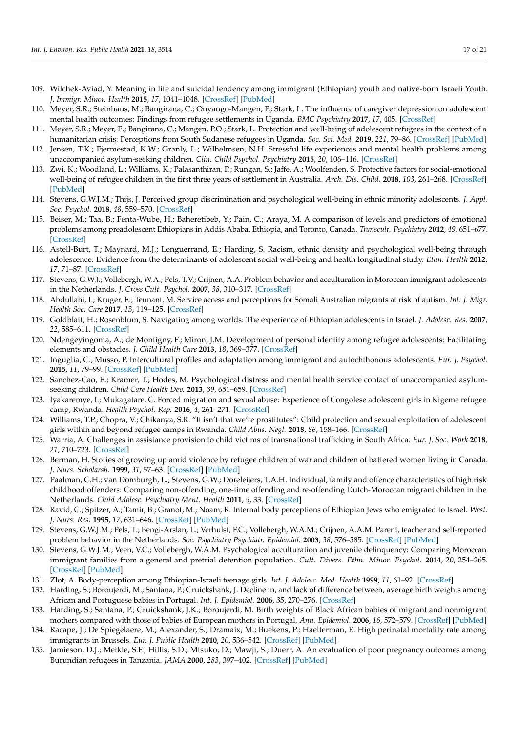- <span id="page-16-1"></span>109. Wilchek-Aviad, Y. Meaning in life and suicidal tendency among immigrant (Ethiopian) youth and native-born Israeli Youth. *J. Immigr. Minor. Health* **2015**, *17*, 1041–1048. [\[CrossRef\]](http://doi.org/10.1007/s10903-014-0028-5) [\[PubMed\]](http://www.ncbi.nlm.nih.gov/pubmed/24788363)
- <span id="page-16-2"></span>110. Meyer, S.R.; Steinhaus, M.; Bangirana, C.; Onyango-Mangen, P.; Stark, L. The influence of caregiver depression on adolescent mental health outcomes: Findings from refugee settlements in Uganda. *BMC Psychiatry* **2017**, *17*, 405. [\[CrossRef\]](http://doi.org/10.1186/s12888-017-1566-x)
- <span id="page-16-3"></span>111. Meyer, S.R.; Meyer, E.; Bangirana, C.; Mangen, P.O.; Stark, L. Protection and well-being of adolescent refugees in the context of a humanitarian crisis: Perceptions from South Sudanese refugees in Uganda. *Soc. Sci. Med.* **2019**, *221*, 79–86. [\[CrossRef\]](http://doi.org/10.1016/j.socscimed.2018.11.034) [\[PubMed\]](http://www.ncbi.nlm.nih.gov/pubmed/30572151)
- <span id="page-16-4"></span>112. Jensen, T.K.; Fjermestad, K.W.; Granly, L.; Wilhelmsen, N.H. Stressful life experiences and mental health problems among unaccompanied asylum-seeking children. *Clin. Child Psychol. Psychiatry* **2015**, *20*, 106–116. [\[CrossRef\]](http://doi.org/10.1177/1359104513499356)
- <span id="page-16-5"></span>113. Zwi, K.; Woodland, L.; Williams, K.; Palasanthiran, P.; Rungan, S.; Jaffe, A.; Woolfenden, S. Protective factors for social-emotional well-being of refugee children in the first three years of settlement in Australia. *Arch. Dis. Child.* **2018**, *103*, 261–268. [\[CrossRef\]](http://doi.org/10.1136/archdischild-2016-312495) [\[PubMed\]](http://www.ncbi.nlm.nih.gov/pubmed/28698238)
- <span id="page-16-6"></span>114. Stevens, G.W.J.M.; Thijs, J. Perceived group discrimination and psychological well-being in ethnic minority adolescents. *J. Appl. Soc. Psychol.* **2018**, *48*, 559–570. [\[CrossRef\]](http://doi.org/10.1111/jasp.12547)
- <span id="page-16-7"></span>115. Beiser, M.; Taa, B.; Fenta-Wube, H.; Baheretibeb, Y.; Pain, C.; Araya, M. A comparison of levels and predictors of emotional problems among preadolescent Ethiopians in Addis Ababa, Ethiopia, and Toronto, Canada. *Transcult. Psychiatry* **2012**, *49*, 651–677. [\[CrossRef\]](http://doi.org/10.1177/1363461512457155)
- <span id="page-16-8"></span>116. Astell-Burt, T.; Maynard, M.J.; Lenguerrand, E.; Harding, S. Racism, ethnic density and psychological well-being through adolescence: Evidence from the determinants of adolescent social well-being and health longitudinal study. *Ethn. Health* **2012**, *17*, 71–87. [\[CrossRef\]](http://doi.org/10.1080/13557858.2011.645153)
- <span id="page-16-9"></span>117. Stevens, G.W.J.; Vollebergh, W.A.; Pels, T.V.; Crijnen, A.A. Problem behavior and acculturation in Moroccan immigrant adolescents in the Netherlands. *J. Cross Cult. Psychol.* **2007**, *38*, 310–317. [\[CrossRef\]](http://doi.org/10.1177/0022022107300277)
- <span id="page-16-10"></span>118. Abdullahi, I.; Kruger, E.; Tennant, M. Service access and perceptions for Somali Australian migrants at risk of autism. *Int. J. Migr. Health Soc. Care* **2017**, *13*, 119–125. [\[CrossRef\]](http://doi.org/10.1108/IJMHSC-09-2015-0031)
- <span id="page-16-11"></span>119. Goldblatt, H.; Rosenblum, S. Navigating among worlds: The experience of Ethiopian adolescents in Israel. *J. Adolesc. Res.* **2007**, *22*, 585–611. [\[CrossRef\]](http://doi.org/10.1177/0743558407303165)
- <span id="page-16-12"></span>120. Ndengeyingoma, A.; de Montigny, F.; Miron, J.M. Development of personal identity among refugee adolescents: Facilitating elements and obstacles. *J. Child Health Care* **2013**, *18*, 369–377. [\[CrossRef\]](http://doi.org/10.1177/1367493513496670)
- <span id="page-16-13"></span>121. Inguglia, C.; Musso, P. Intercultural profiles and adaptation among immigrant and autochthonous adolescents. *Eur. J. Psychol.* **2015**, *11*, 79–99. [\[CrossRef\]](http://doi.org/10.5964/ejop.v11i1.872) [\[PubMed\]](http://www.ncbi.nlm.nih.gov/pubmed/27247643)
- <span id="page-16-14"></span>122. Sanchez-Cao, E.; Kramer, T.; Hodes, M. Psychological distress and mental health service contact of unaccompanied asylumseeking children. *Child Care Health Dev.* **2013**, *39*, 651–659. [\[CrossRef\]](http://doi.org/10.1111/j.1365-2214.2012.01406.x)
- <span id="page-16-15"></span>123. Iyakaremye, I.; Mukagatare, C. Forced migration and sexual abuse: Experience of Congolese adolescent girls in Kigeme refugee camp, Rwanda. *Health Psychol. Rep.* **2016**, *4*, 261–271. [\[CrossRef\]](http://doi.org/10.5114/hpr.2016.59590)
- <span id="page-16-16"></span>124. Williams, T.P.; Chopra, V.; Chikanya, S.R. "It isn't that we're prostitutes": Child protection and sexual exploitation of adolescent girls within and beyond refugee camps in Rwanda. *Child Abus. Negl.* **2018**, *86*, 158–166. [\[CrossRef\]](http://doi.org/10.1016/j.chiabu.2018.09.015)
- <span id="page-16-18"></span>125. Warria, A. Challenges in assistance provision to child victims of transnational trafficking in South Africa. *Eur. J. Soc. Work* **2018**, *21*, 710–723. [\[CrossRef\]](http://doi.org/10.1080/13691457.2017.1320534)
- <span id="page-16-17"></span>126. Berman, H. Stories of growing up amid violence by refugee children of war and children of battered women living in Canada. *J. Nurs. Scholarsh.* **1999**, *31*, 57–63. [\[CrossRef\]](http://doi.org/10.1111/j.1547-5069.1999.tb00422.x) [\[PubMed\]](http://www.ncbi.nlm.nih.gov/pubmed/10081214)
- 127. Paalman, C.H.; van Domburgh, L.; Stevens, G.W.; Doreleijers, T.A.H. Individual, family and offence characteristics of high risk childhood offenders: Comparing non-offending, one-time offending and re-offending Dutch-Moroccan migrant children in the Netherlands. *Child Adolesc. Psychiatry Ment. Health* **2011**, *5*, 33. [\[CrossRef\]](http://doi.org/10.1186/1753-2000-5-33)
- 128. Ravid, C.; Spitzer, A.; Tamir, B.; Granot, M.; Noam, R. Internal body perceptions of Ethiopian Jews who emigrated to Israel. *West. J. Nurs. Res.* **1995**, *17*, 631–646. [\[CrossRef\]](http://doi.org/10.1177/019394599501700605) [\[PubMed\]](http://www.ncbi.nlm.nih.gov/pubmed/8597230)
- <span id="page-16-21"></span>129. Stevens, G.W.J.M.; Pels, T.; Bengi-Arslan, L.; Verhulst, F.C.; Vollebergh, W.A.M.; Crijnen, A.A.M. Parent, teacher and self-reported problem behavior in the Netherlands. *Soc. Psychiatry Psychiatr. Epidemiol.* **2003**, *38*, 576–585. [\[CrossRef\]](http://doi.org/10.1007/s00127-003-0677-5) [\[PubMed\]](http://www.ncbi.nlm.nih.gov/pubmed/14569425)
- 130. Stevens, G.W.J.M.; Veen, V.C.; Vollebergh, W.A.M. Psychological acculturation and juvenile delinquency: Comparing Moroccan immigrant families from a general and pretrial detention population. *Cult. Divers. Ethn. Minor. Psychol.* **2014**, *20*, 254–265. [\[CrossRef\]](http://doi.org/10.1037/a0035024) [\[PubMed\]](http://www.ncbi.nlm.nih.gov/pubmed/24773008)
- 131. Zlot, A. Body-perception among Ethiopian-Israeli teenage girls. *Int. J. Adolesc. Med. Health* **1999**, *11*, 61–92. [\[CrossRef\]](http://doi.org/10.1515/IJAMH.1999.11.1-2.61)
- <span id="page-16-0"></span>132. Harding, S.; Boroujerdi, M.; Santana, P.; Cruickshank, J. Decline in, and lack of difference between, average birth weights among African and Portuguese babies in Portugal. *Int. J. Epidemiol.* **2006**, *35*, 270–276. [\[CrossRef\]](http://doi.org/10.1093/ije/dyi225)
- <span id="page-16-19"></span>133. Harding, S.; Santana, P.; Cruickshank, J.K.; Boroujerdi, M. Birth weights of Black African babies of migrant and nonmigrant mothers compared with those of babies of European mothers in Portugal. *Ann. Epidemiol.* **2006**, *16*, 572–579. [\[CrossRef\]](http://doi.org/10.1016/j.annepidem.2005.10.005) [\[PubMed\]](http://www.ncbi.nlm.nih.gov/pubmed/16464611)
- 134. Racape, J.; De Spiegelaere, M.; Alexander, S.; Dramaix, M.; Buekens, P.; Haelterman, E. High perinatal mortality rate among immigrants in Brussels. *Eur. J. Public Health* **2010**, *20*, 536–542. [\[CrossRef\]](http://doi.org/10.1093/eurpub/ckq060) [\[PubMed\]](http://www.ncbi.nlm.nih.gov/pubmed/20478837)
- <span id="page-16-20"></span>135. Jamieson, D.J.; Meikle, S.F.; Hillis, S.D.; Mtsuko, D.; Mawji, S.; Duerr, A. An evaluation of poor pregnancy outcomes among Burundian refugees in Tanzania. *JAMA* **2000**, *283*, 397–402. [\[CrossRef\]](http://doi.org/10.1001/jama.283.3.397) [\[PubMed\]](http://www.ncbi.nlm.nih.gov/pubmed/10647805)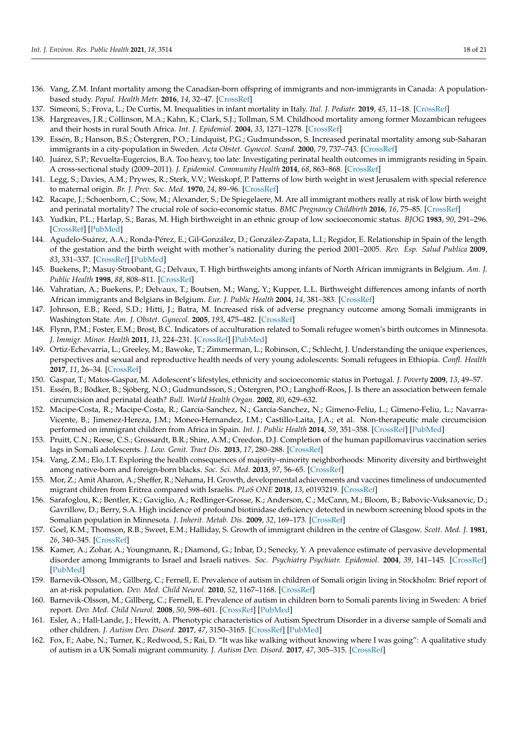- <span id="page-17-1"></span>136. Vang, Z.M. Infant mortality among the Canadian-born offspring of immigrants and non-immigrants in Canada: A populationbased study. *Popul. Health Metr.* **2016**, *14*, 32–47. [\[CrossRef\]](http://doi.org/10.1186/s12963-016-0101-5)
- <span id="page-17-2"></span>137. Simeoni, S.; Frova, L.; De Curtis, M. Inequalities in infant mortality in Italy. *Ital. J. Pediatr.* **2019**, *45*, 11–18. [\[CrossRef\]](http://doi.org/10.1186/s13052-018-0594-6)
- <span id="page-17-3"></span>138. Hargreaves, J.R.; Collinson, M.A.; Kahn, K.; Clark, S.J.; Tollman, S.M. Childhood mortality among former Mozambican refugees and their hosts in rural South Africa. *Int. J. Epidemiol.* **2004**, *33*, 1271–1278. [\[CrossRef\]](http://doi.org/10.1093/ije/dyh257)
- <span id="page-17-4"></span>139. Essén, B.; Hanson, B.S.; Östergren, P.O.; Lindquist, P.G.; Gudmundsson, S. Increased perinatal mortality among sub-Saharan immigrants in a city-population in Sweden. *Acta Obstet. Gynecol. Scand.* **2000**, *79*, 737–743. [\[CrossRef\]](http://doi.org/10.1080/00016340009169187)
- <span id="page-17-5"></span>140. Juárez, S.P.; Revuelta-Eugercios, B.A. Too heavy, too late: Investigating perinatal health outcomes in immigrants residing in Spain. A cross-sectional study (2009–2011). *J. Epidemiol. Community Health* **2014**, *68*, 863–868. [\[CrossRef\]](http://doi.org/10.1136/jech-2013-202917)
- <span id="page-17-6"></span>141. Legg, S.; Davies, A.M.; Prywes, R.; Sterk, V.V.; Weiskopf, P. Patterns of low birth weight in west Jerusalem with special reference to maternal origin. *Br. J. Prev. Soc. Med.* **1970**, *24*, 89–96. [\[CrossRef\]](http://doi.org/10.1136/jech.24.2.89)
- 142. Racape, J.; Schoenborn, C.; Sow, M.; Alexander, S.; De Spiegelaere, M. Are all immigrant mothers really at risk of low birth weight and perinatal mortality? The crucial role of socio-economic status. *BMC Pregnancy Childbirth* **2016**, *16*, 75–85. [\[CrossRef\]](http://doi.org/10.1186/s12884-016-0860-9)
- 143. Yudkin, P.L.; Harlap, S.; Baras, M. High birthweight in an ethnic group of low socioeconomic status. *BJOG* **1983**, *90*, 291–296. [\[CrossRef\]](http://doi.org/10.1111/j.1471-0528.1983.tb08912.x) [\[PubMed\]](http://www.ncbi.nlm.nih.gov/pubmed/6838787)
- <span id="page-17-7"></span>144. Agudelo-Suárez, A.A.; Ronda-Pérez, E.; Gil-González, D.; González-Zapata, L.I.; Regidor, E. Relationship in Spain of the length of the gestation and the birth weight with mother's nationality during the period 2001–2005. *Rev. Esp. Salud Publica* **2009**, *83*, 331–337. [\[CrossRef\]](http://doi.org/10.1590/S1135-57272009000200015) [\[PubMed\]](http://www.ncbi.nlm.nih.gov/pubmed/19626258)
- <span id="page-17-8"></span>145. Buekens, P.; Masuy-Stroobant, G.; Delvaux, T. High birthweights among infants of North African immigrants in Belgium. *Am. J. Public Health* **1998**, *88*, 808–811. [\[CrossRef\]](http://doi.org/10.2105/AJPH.88.5.808)
- 146. Vahratian, A.; Buekens, P.; Delvaux, T.; Boutsen, M.; Wang, Y.; Kupper, L.L. Birthweight differences among infants of north African immigrants and Belgians in Belgium. *Eur. J. Public Health* **2004**, *14*, 381–383. [\[CrossRef\]](http://doi.org/10.1093/eurpub/14.4.381)
- <span id="page-17-9"></span>147. Johnson, E.B.; Reed, S.D.; Hitti, J.; Batra, M. Increased risk of adverse pregnancy outcome among Somali immigrants in Washington State. *Am. J. Obstet. Gynecol.* **2005**, *193*, 475–482. [\[CrossRef\]](http://doi.org/10.1016/j.ajog.2004.12.003)
- <span id="page-17-10"></span>148. Flynn, P.M.; Foster, E.M.; Brost, B.C. Indicators of acculturation related to Somali refugee women's birth outcomes in Minnesota. *J. Immigr. Minor. Health* **2011**, *13*, 224–231. [\[CrossRef\]](http://doi.org/10.1007/s10903-009-9289-9) [\[PubMed\]](http://www.ncbi.nlm.nih.gov/pubmed/19757054)
- <span id="page-17-11"></span>149. Ortiz-Echevarria, L.; Greeley, M.; Bawoke, T.; Zimmerman, L.; Robinson, C.; Schlecht, J. Understanding the unique experiences, perspectives and sexual and reproductive health needs of very young adolescents: Somali refugees in Ethiopia. *Confl. Health* **2017**, *11*, 26–34. [\[CrossRef\]](http://doi.org/10.1186/s13031-017-0129-6)
- <span id="page-17-12"></span>150. Gaspar, T.; Matos-Gaspar, M. Adolescent's lifestyles, ethnicity and socioeconomic status in Portugal. *J. Poverty* **2009**, *13*, 49–57.
- <span id="page-17-13"></span>151. Essén, B.; Bödker, B.; Sjöberg, N.O.; Gudmundsson, S.; Östergren, P.O.; Langhoff-Roos, J. Is there an association between female circumcision and perinatal death? *Bull. World Health Organ.* **2002**, *80*, 629–632.
- <span id="page-17-14"></span>152. Macipe-Costa, R.; Macipe-Costa, R.; García-Sanchez, N.; García-Sanchez, N.; Gimeno-Feliu, L.; Gimeno-Feliu, L.; Navarra-Vicente, B.; Jimenez-Hereza, J.M.; Moneo-Hernandez, I.M.; Castillo-Laita, J.A.; et al. Non-therapeutic male circumcision performed on immigrant children from Africa in Spain. *Int. J. Public Health* **2014**, *59*, 351–358. [\[CrossRef\]](http://doi.org/10.1007/s00038-013-0522-x) [\[PubMed\]](http://www.ncbi.nlm.nih.gov/pubmed/24212325)
- <span id="page-17-15"></span>153. Pruitt, C.N.; Reese, C.S.; Grossardt, B.R.; Shire, A.M.; Creedon, D.J. Completion of the human papillomavirus vaccination series lags in Somali adolescents. *J. Low. Genit. Tract Dis.* **2013**, *17*, 280–288. [\[CrossRef\]](http://doi.org/10.1097/LGT.0b013e3182759a64)
- <span id="page-17-16"></span>154. Vang, Z.M.; Elo, I.T. Exploring the health consequences of majority–minority neighborhoods: Minority diversity and birthweight among native-born and foreign-born blacks. *Soc. Sci. Med.* **2013**, *97*, 56–65. [\[CrossRef\]](http://doi.org/10.1016/j.socscimed.2013.07.013)
- <span id="page-17-0"></span>155. Mor, Z.; Amit Aharon, A.; Sheffer, R.; Nehama, H. Growth, developmental achievements and vaccines timeliness of undocumented migrant children from Eritrea compared with Israelis. *PLoS ONE* **2018**, *13*, e0193219. [\[CrossRef\]](http://doi.org/10.1371/journal.pone.0193219)
- <span id="page-17-17"></span>156. Sarafoglou, K.; Bentler, K.; Gaviglio, A.; Redlinger-Grosse, K.; Anderson, C.; McCann, M.; Bloom, B.; Babovic-Vuksanovic, D.; Gavrillow, D.; Berry, S.A. High incidence of profound biotinidase deficiency detected in newborn screening blood spots in the Somalian population in Minnesota. *J. Inherit. Metab. Dis.* **2009**, *32*, 169–173. [\[CrossRef\]](http://doi.org/10.1007/s10545-009-1135-7)
- <span id="page-17-18"></span>157. Goel, K.M.; Thomson, R.B.; Sweet, E.M.; Halliday, S. Growth of immigrant children in the centre of Glasgow. *Scott. Med. J.* **1981**, *26*, 340–345. [\[CrossRef\]](http://doi.org/10.1177/003693308102600409)
- <span id="page-17-19"></span>158. Kamer, A.; Zohar, A.; Youngmann, R.; Diamond, G.; Inbar, D.; Senecky, Y. A prevalence estimate of pervasive developmental disorder among Immigrants to Israel and Israeli natives. *Soc. Psychiatry Psychiatr. Epidemiol.* **2004**, *39*, 141–145. [\[CrossRef\]](http://doi.org/10.1007/s00127-004-0696-x) [\[PubMed\]](http://www.ncbi.nlm.nih.gov/pubmed/15052396)
- <span id="page-17-20"></span>159. Barnevik-Olsson, M.; Gillberg, C.; Fernell, E. Prevalence of autism in children of Somali origin living in Stockholm: Brief report of an at-risk population. *Dev. Med. Child Neurol.* **2010**, *52*, 1167–1168. [\[CrossRef\]](http://doi.org/10.1111/j.1469-8749.2010.03812.x)
- <span id="page-17-21"></span>160. Barnevik-Olsson, M.; Gillberg, C.; Fernell, E. Prevalence of autism in children born to Somali parents living in Sweden: A brief report. *Dev. Med. Child Neurol.* **2008**, *50*, 598–601. [\[CrossRef\]](http://doi.org/10.1111/j.1469-8749.2008.03036.x) [\[PubMed\]](http://www.ncbi.nlm.nih.gov/pubmed/18754897)
- 161. Esler, A.; Hall-Lande, J.; Hewitt, A. Phenotypic characteristics of Autism Spectrum Disorder in a diverse sample of Somali and other children. *J. Autism Dev. Disord.* **2017**, *47*, 3150–3165. [\[CrossRef\]](http://doi.org/10.1007/s10803-017-3232-z) [\[PubMed\]](http://www.ncbi.nlm.nih.gov/pubmed/28689330)
- <span id="page-17-22"></span>162. Fox, F.; Aabe, N.; Turner, K.; Redwood, S.; Rai, D. "It was like walking without knowing where I was going": A qualitative study of autism in a UK Somali migrant community. *J. Autism Dev. Disord.* **2017**, *47*, 305–315. [\[CrossRef\]](http://doi.org/10.1007/s10803-016-2952-9)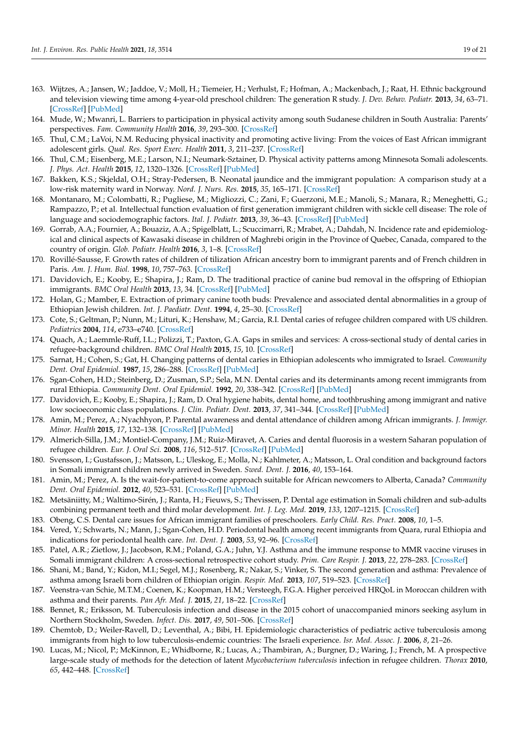- <span id="page-18-1"></span>163. Wijtzes, A.; Jansen, W.; Jaddoe, V.; Moll, H.; Tiemeier, H.; Verhulst, F.; Hofman, A.; Mackenbach, J.; Raat, H. Ethnic background and television viewing time among 4-year-old preschool children: The generation R study. *J. Dev. Behav. Pediatr.* **2013**, *34*, 63–71. [\[CrossRef\]](http://doi.org/10.1097/DBP.0b013e31827b163a) [\[PubMed\]](http://www.ncbi.nlm.nih.gov/pubmed/23369955)
- <span id="page-18-2"></span>164. Mude, W.; Mwanri, L. Barriers to participation in physical activity among south Sudanese children in South Australia: Parents' perspectives. *Fam. Community Health* **2016**, *39*, 293–300. [\[CrossRef\]](http://doi.org/10.1097/FCH.0000000000000121)
- <span id="page-18-3"></span>165. Thul, C.M.; LaVoi, N.M. Reducing physical inactivity and promoting active living: From the voices of East African immigrant adolescent girls. *Qual. Res. Sport Exerc. Health* **2011**, *3*, 211–237. [\[CrossRef\]](http://doi.org/10.1080/2159676X.2011.572177)
- <span id="page-18-4"></span>166. Thul, C.M.; Eisenberg, M.E.; Larson, N.I.; Neumark-Sztainer, D. Physical activity patterns among Minnesota Somali adolescents. *J. Phys. Act. Health* **2015**, *12*, 1320–1326. [\[CrossRef\]](http://doi.org/10.1123/jpah.2014-0146) [\[PubMed\]](http://www.ncbi.nlm.nih.gov/pubmed/25493419)
- <span id="page-18-5"></span>167. Bakken, K.S.; Skjeldal, O.H.; Stray-Pedersen, B. Neonatal jaundice and the immigrant population: A comparison study at a low-risk maternity ward in Norway. *Nord. J. Nurs. Res.* **2015**, *35*, 165–171. [\[CrossRef\]](http://doi.org/10.1177/0107408315590566)
- <span id="page-18-6"></span>168. Montanaro, M.; Colombatti, R.; Pugliese, M.; Migliozzi, C.; Zani, F.; Guerzoni, M.E.; Manoli, S.; Manara, R.; Meneghetti, G.; Rampazzo, P.; et al. Intellectual function evaluation of first generation immigrant children with sickle cell disease: The role of language and sociodemographic factors. *Ital. J. Pediatr.* **2013**, *39*, 36–43. [\[CrossRef\]](http://doi.org/10.1186/1824-7288-39-36) [\[PubMed\]](http://www.ncbi.nlm.nih.gov/pubmed/23735165)
- <span id="page-18-7"></span>169. Gorrab, A.A.; Fournier, A.; Bouaziz, A.A.; Spigelblatt, L.; Scuccimarri, R.; Mrabet, A.; Dahdah, N. Incidence rate and epidemiological and clinical aspects of Kawasaki disease in children of Maghrebi origin in the Province of Quebec, Canada, compared to the country of origin. *Glob. Pediatr. Health* **2016**, *3*, 1–8. [\[CrossRef\]](http://doi.org/10.1177/2333794X16630670)
- <span id="page-18-8"></span>170. Rovillé-Sausse, F. Growth rates of children of tilization African ancestry born to immigrant parents and of French children in Paris. *Am. J. Hum. Biol.* **1998**, *10*, 757–763. [\[CrossRef\]](http://doi.org/10.1002/(SICI)1520-6300(1998)10:6<757::AID-AJHB7>3.0.CO;2-4)
- <span id="page-18-0"></span>171. Davidovich, E.; Kooby, E.; Shapira, J.; Ram, D. The traditional practice of canine bud removal in the offspring of Ethiopian immigrants. *BMC Oral Health* **2013**, *13*, 34. [\[CrossRef\]](http://doi.org/10.1186/1472-6831-13-34) [\[PubMed\]](http://www.ncbi.nlm.nih.gov/pubmed/23870074)
- <span id="page-18-9"></span>172. Holan, G.; Mamber, E. Extraction of primary canine tooth buds: Prevalence and associated dental abnormalities in a group of Ethiopian Jewish children. *Int. J. Paediatr. Dent.* **1994**, *4*, 25–30. [\[CrossRef\]](http://doi.org/10.1111/j.1365-263X.1994.tb00097.x)
- <span id="page-18-11"></span>173. Cote, S.; Geltman, P.; Nunn, M.; Lituri, K.; Henshaw, M.; Garcia, R.I. Dental caries of refugee children compared with US children. *Pediatrics* **2004**, *114*, e733–e740. [\[CrossRef\]](http://doi.org/10.1542/peds.2004-0496)
- <span id="page-18-12"></span>174. Quach, A.; Laemmle-Ruff, I.L.; Polizzi, T.; Paxton, G.A. Gaps in smiles and services: A cross-sectional study of dental caries in refugee-background children. *BMC Oral Health* **2015**, *15*, 10. [\[CrossRef\]](http://doi.org/10.1186/1472-6831-15-10)
- 175. Sarnat, H.; Cohen, S.; Gat, H. Changing patterns of dental caries in Ethiopian adolescents who immigrated to Israel. *Community Dent. Oral Epidemiol.* **1987**, *15*, 286–288. [\[CrossRef\]](http://doi.org/10.1111/j.1600-0528.1987.tb00539.x) [\[PubMed\]](http://www.ncbi.nlm.nih.gov/pubmed/3477362)
- 176. Sgan-Cohen, H.D.; Steinberg, D.; Zusman, S.P.; Sela, M.N. Dental caries and its determinants among recent immigrants from rural Ethiopia. *Community Dent. Oral Epidemiol.* **1992**, *20*, 338–342. [\[CrossRef\]](http://doi.org/10.1111/j.1600-0528.1992.tb00694.x) [\[PubMed\]](http://www.ncbi.nlm.nih.gov/pubmed/1464228)
- <span id="page-18-13"></span>177. Davidovich, E.; Kooby, E.; Shapira, J.; Ram, D. Oral hygiene habits, dental home, and toothbrushing among immigrant and native low socioeconomic class populations. *J. Clin. Pediatr. Dent.* **2013**, *37*, 341–344. [\[CrossRef\]](http://doi.org/10.17796/jcpd.37.4.l75322k97l2q31g0) [\[PubMed\]](http://www.ncbi.nlm.nih.gov/pubmed/24046978)
- <span id="page-18-14"></span>178. Amin, M.; Perez, A.; Nyachhyon, P. Parental awareness and dental attendance of children among African immigrants. *J. Immigr. Minor. Health* **2015**, *17*, 132–138. [\[CrossRef\]](http://doi.org/10.1007/s10903-013-9912-7) [\[PubMed\]](http://www.ncbi.nlm.nih.gov/pubmed/24057752)
- <span id="page-18-16"></span>179. Almerich-Silla, J.M.; Montiel-Company, J.M.; Ruiz-Miravet, A. Caries and dental fluorosis in a western Saharan population of refugee children. *Eur. J. Oral Sci.* **2008**, *116*, 512–517. [\[CrossRef\]](http://doi.org/10.1111/j.1600-0722.2008.00583.x) [\[PubMed\]](http://www.ncbi.nlm.nih.gov/pubmed/19049520)
- 180. Svensson, I.; Gustafsson, J.; Matsson, L.; Uleskog, E.; Molla, N.; Kahlmeter, A.; Matsson, L. Oral condition and background factors in Somali immigrant children newly arrived in Sweden. *Swed. Dent. J.* **2016**, *40*, 153–164.
- <span id="page-18-17"></span>181. Amin, M.; Perez, A. Is the wait-for-patient-to-come approach suitable for African newcomers to Alberta, Canada? *Community Dent. Oral Epidemiol.* **2012**, *40*, 523–531. [\[CrossRef\]](http://doi.org/10.1111/j.1600-0528.2012.00698.x) [\[PubMed\]](http://www.ncbi.nlm.nih.gov/pubmed/22548343)
- <span id="page-18-18"></span>182. Metsäniitty, M.; Waltimo-Sirén, J.; Ranta, H.; Fieuws, S.; Thevissen, P. Dental age estimation in Somali children and sub-adults combining permanent teeth and third molar development. *Int. J. Leg. Med.* **2019**, *133*, 1207–1215. [\[CrossRef\]](http://doi.org/10.1007/s00414-019-02053-w)
- 183. Obeng, C.S. Dental care issues for African immigrant families of preschoolers. *Early Child. Res. Pract.* **2008**, *10*, 1–5.
- <span id="page-18-15"></span>184. Vered, Y.; Schwarts, N.; Mann, J.; Sgan-Cohen, H.D. Periodontal health among recent immigrants from Quara, rural Ethiopia and indications for periodontal health care. *Int. Dent. J.* **2003**, *53*, 92–96. [\[CrossRef\]](http://doi.org/10.1111/j.1875-595X.2003.tb00665.x)
- <span id="page-18-10"></span>185. Patel, A.R.; Zietlow, J.; Jacobson, R.M.; Poland, G.A.; Juhn, Y.J. Asthma and the immune response to MMR vaccine viruses in Somali immigrant children: A cross-sectional retrospective cohort study. *Prim. Care Respir. J.* **2013**, *22*, 278–283. [\[CrossRef\]](http://doi.org/10.4104/pcrj.2013.00039)
- <span id="page-18-19"></span>186. Shani, M.; Band, Y.; Kidon, M.I.; Segel, M.J.; Rosenberg, R.; Nakar, S.; Vinker, S. The second generation and asthma: Prevalence of asthma among Israeli born children of Ethiopian origin. *Respir. Med.* **2013**, *107*, 519–523. [\[CrossRef\]](http://doi.org/10.1016/j.rmed.2012.12.024)
- 187. Veenstra-van Schie, M.T.M.; Coenen, K.; Koopman, H.M.; Versteegh, F.G.A. Higher perceived HRQoL in Moroccan children with asthma and their parents. *Pan Afr. Med. J.* **2015**, *21*, 18–22. [\[CrossRef\]](http://doi.org/10.11604/pamj.2015.21.18.6191)
- <span id="page-18-20"></span>188. Bennet, R.; Eriksson, M. Tuberculosis infection and disease in the 2015 cohort of unaccompanied minors seeking asylum in Northern Stockholm, Sweden. *Infect. Dis.* **2017**, *49*, 501–506. [\[CrossRef\]](http://doi.org/10.1080/23744235.2017.1292540)
- <span id="page-18-21"></span>189. Chemtob, D.; Weiler-Ravell, D.; Leventhal, A.; Bibi, H. Epidemiologic characteristics of pediatric active tuberculosis among immigrants from high to low tuberculosis-endemic countries: The Israeli experience. *Isr. Med. Assoc. J.* **2006**, *8*, 21–26.
- <span id="page-18-22"></span>190. Lucas, M.; Nicol, P.; McKinnon, E.; Whidborne, R.; Lucas, A.; Thambiran, A.; Burgner, D.; Waring, J.; French, M. A prospective large-scale study of methods for the detection of latent *Mycobacterium tuberculosis* infection in refugee children. *Thorax* **2010**, *65*, 442–448. [\[CrossRef\]](http://doi.org/10.1136/thx.2009.127555)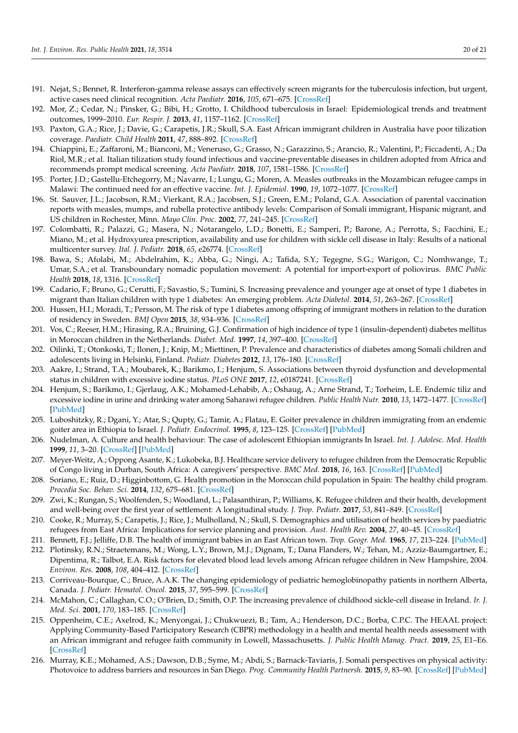- 191. Nejat, S.; Bennet, R. Interferon-gamma release assays can effectively screen migrants for the tuberculosis infection, but urgent, active cases need clinical recognition. *Acta Paediatr.* **2016**, *105*, 671–675. [\[CrossRef\]](http://doi.org/10.1111/apa.13386)
- 192. Mor, Z.; Cedar, N.; Pinsker, G.; Bibi, H.; Grotto, I. Childhood tuberculosis in Israel: Epidemiological trends and treatment outcomes, 1999–2010. *Eur. Respir. J.* **2013**, *41*, 1157–1162. [\[CrossRef\]](http://doi.org/10.1183/09031936.00033912)
- <span id="page-19-0"></span>193. Paxton, G.A.; Rice, J.; Davie, G.; Carapetis, J.R.; Skull, S.A. East African immigrant children in Australia have poor tilization coverage. *Paediatr. Child Health* **2011**, *47*, 888–892. [\[CrossRef\]](http://doi.org/10.1111/j.1440-1754.2011.02099.x)
- <span id="page-19-1"></span>194. Chiappini, E.; Zaffaroni, M.; Bianconi, M.; Veneruso, G.; Grasso, N.; Garazzino, S.; Arancio, R.; Valentini, P.; Ficcadenti, A.; Da Riol, M.R.; et al. Italian tilization study found infectious and vaccine-preventable diseases in children adopted from Africa and recommends prompt medical screening. *Acta Paediatr.* **2018**, *107*, 1581–1586. [\[CrossRef\]](http://doi.org/10.1111/apa.14237)
- <span id="page-19-3"></span>195. Porter, J.D.; Gastellu-Etchegorry, M.; Navarre, I.; Lungu, G.; Moren, A. Measles outbreaks in the Mozambican refugee camps in Malawi: The continued need for an effective vaccine. *Int. J. Epidemiol.* **1990**, *19*, 1072–1077. [\[CrossRef\]](http://doi.org/10.1093/ije/19.4.1072)
- <span id="page-19-4"></span>196. St. Sauver, J.L.; Jacobson, R.M.; Vierkant, R.A.; Jacobsen, S.J.; Green, E.M.; Poland, G.A. Association of parental vaccination reports with measles, mumps, and rubella protective antibody levels: Comparison of Somali immigrant, Hispanic migrant, and US children in Rochester, Minn. *Mayo Clin. Proc.* **2002**, *77*, 241–245. [\[CrossRef\]](http://doi.org/10.4065/77.3.241)
- <span id="page-19-5"></span>197. Colombatti, R.; Palazzi, G.; Masera, N.; Notarangelo, L.D.; Bonetti, E.; Samperi, P.; Barone, A.; Perrotta, S.; Facchini, E.; Miano, M.; et al. Hydroxyurea prescription, availability and use for children with sickle cell disease in Italy: Results of a national multicenter survey. *Ital. J. Pediatr.* **2018**, *65*, e26774. [\[CrossRef\]](http://doi.org/10.1002/pbc.26774)
- <span id="page-19-6"></span>198. Bawa, S.; Afolabi, M.; Abdelrahim, K.; Abba, G.; Ningi, A.; Tafida, S.Y.; Tegegne, S.G.; Warigon, C.; Nomhwange, T.; Umar, S.A.; et al. Transboundary nomadic population movement: A potential for import-export of poliovirus. *BMC Public Health* **2018**, *18*, 1316. [\[CrossRef\]](http://doi.org/10.1186/s12889-018-6190-2)
- <span id="page-19-2"></span>199. Cadario, F.; Bruno, G.; Cerutti, F.; Savastio, S.; Tumini, S. Increasing prevalence and younger age at onset of type 1 diabetes in migrant than Italian children with type 1 diabetes: An emerging problem. *Acta Diabetol.* **2014**, *51*, 263–267. [\[CrossRef\]](http://doi.org/10.1007/s00592-013-0514-6)
- <span id="page-19-7"></span>200. Hussen, H.I.; Moradi, T.; Persson, M. The risk of type 1 diabetes among offspring of immigrant mothers in relation to the duration of residency in Sweden. *BMJ Open* **2015**, *38*, 934–936. [\[CrossRef\]](http://doi.org/10.2337/dc14-2348)
- <span id="page-19-12"></span>201. Vos, C.; Reeser, H.M.; Hirasing, R.A.; Bruining, G.J. Confirmation of high incidence of type 1 (insulin-dependent) diabetes mellitus in Moroccan children in the Netherlands. *Diabet. Med.* **1997**, *14*, 397–400. [\[CrossRef\]](http://doi.org/10.1002/(SICI)1096-9136(199705)14:5<397::AID-DIA358>3.0.CO;2-J)
- <span id="page-19-11"></span>202. Oilinki, T.; Otonkoski, T.; Ilonen, J.; Knip, M.; Miettinen, P. Prevalence and characteristics of diabetes among Somali children and adolescents living in Helsinki, Finland. *Pediatr. Diabetes* **2012**, *13*, 176–180. [\[CrossRef\]](http://doi.org/10.1111/j.1399-5448.2011.00783.x)
- <span id="page-19-8"></span>203. Aakre, I.; Strand, T.A.; Moubarek, K.; Barikmo, I.; Henjum, S. Associations between thyroid dysfunction and developmental status in children with excessive iodine status. *PLoS ONE* **2017**, *12*, e0187241. [\[CrossRef\]](http://doi.org/10.1371/journal.pone.0187241)
- <span id="page-19-9"></span>204. Henjum, S.; Barikmo, I.; Gjerlaug, A.K.; Mohamed-Lehabib, A.; Oshaug, A.; Arne Strand, T.; Torheim, L.E. Endemic tiliz and excessive iodine in urine and drinking water among Saharawi refugee children. *Public Health Nutr.* **2010**, *13*, 1472–1477. [\[CrossRef\]](http://doi.org/10.1017/S1368980010000650) [\[PubMed\]](http://www.ncbi.nlm.nih.gov/pubmed/20359380)
- <span id="page-19-10"></span>205. Luboshitzky, R.; Dgani, Y.; Atar, S.; Qupty, G.; Tamir, A.; Flatau, E. Goiter prevalence in children immigrating from an endemic goiter area in Ethiopia to Israel. *J. Pediatr. Endocrinol.* **1995**, *8*, 123–125. [\[CrossRef\]](http://doi.org/10.1515/JPEM.1995.8.2.123) [\[PubMed\]](http://www.ncbi.nlm.nih.gov/pubmed/7584706)
- <span id="page-19-13"></span>206. Nudelman, A. Culture and health behaviour: The case of adolescent Ethiopian immigrants In Israel. *Int. J. Adolesc. Med. Health* **1999**, *11*, 3–20. [\[CrossRef\]](http://doi.org/10.1515/IJAMH.1999.11.1-2.3) [\[PubMed\]](http://www.ncbi.nlm.nih.gov/pubmed/22912182)
- <span id="page-19-14"></span>207. Meyer-Weitz, A.; Oppong Asante, K.; Lukobeka, B.J. Healthcare service delivery to refugee children from the Democratic Republic of Congo living in Durban, South Africa: A caregivers' perspective. *BMC Med.* **2018**, *16*, 163. [\[CrossRef\]](http://doi.org/10.1186/s12916-018-1153-0) [\[PubMed\]](http://www.ncbi.nlm.nih.gov/pubmed/30257682)
- <span id="page-19-16"></span>208. Soriano, E.; Ruiz, D.; Higginbottom, G. Health promotion in the Moroccan child population in Spain: The healthy child program. *Procedia Soc. Behav. Sci.* **2014**, *132*, 675–681. [\[CrossRef\]](http://doi.org/10.1016/j.sbspro.2014.04.371)
- <span id="page-19-17"></span>209. Zwi, K.; Rungan, S.; Woolfenden, S.; Woodland, L.; Palasanthiran, P.; Williams, K. Refugee children and their health, development and well-being over the first year of settlement: A longitudinal study. *J. Trop. Pediatr.* **2017**, *53*, 841–849. [\[CrossRef\]](http://doi.org/10.1111/jpc.13551)
- <span id="page-19-18"></span>210. Cooke, R.; Murray, S.; Carapetis, J.; Rice, J.; Mulholland, N.; Skull, S. Demographics and utilisation of health services by paediatric refugees from East Africa: Implications for service planning and provision. *Aust. Health Rev.* **2004**, *27*, 40–45. [\[CrossRef\]](http://doi.org/10.1071/AH042720040)
- <span id="page-19-19"></span>211. Bennett, F.J.; Jelliffe, D.B. The health of immigrant babies in an East African town. *Trop. Geogr. Med.* **1965**, *17*, 213–224. [\[PubMed\]](http://www.ncbi.nlm.nih.gov/pubmed/5893627)
- <span id="page-19-15"></span>212. Plotinsky, R.N.; Straetemans, M.; Wong, L.Y.; Brown, M.J.; Dignam, T.; Dana Flanders, W.; Tehan, M.; Azziz-Baumgartner, E.; Dipentima, R.; Talbot, E.A. Risk factors for elevated blood lead levels among African refugee children in New Hampshire, 2004. *Environ. Res.* **2008**, *108*, 404–412. [\[CrossRef\]](http://doi.org/10.1016/j.envres.2008.08.002)
- <span id="page-19-20"></span>213. Corriveau-Bourque, C.; Bruce, A.A.K. The changing epidemiology of pediatric hemoglobinopathy patients in northern Alberta, Canada. *J. Pediatr. Hematol. Oncol.* **2015**, *37*, 595–599. [\[CrossRef\]](http://doi.org/10.1097/MPH.0000000000000442)
- <span id="page-19-22"></span>214. McMahon, C.; Callaghan, C.O.; O'Brien, D.; Smith, O.P. The increasing prevalence of childhood sickle-cell disease in Ireland. *Ir. J. Med. Sci.* **2001**, *170*, 183–185. [\[CrossRef\]](http://doi.org/10.1007/BF03173886)
- <span id="page-19-21"></span>215. Oppenheim, C.E.; Axelrod, K.; Menyongai, J.; Chukwuezi, B.; Tam, A.; Henderson, D.C.; Borba, C.P.C. The HEAAL project: Applying Community-Based Participatory Research (CBPR) methodology in a health and mental health needs assessment with an African immigrant and refugee faith community in Lowell, Massachusetts. *J. Public Health Manag. Pract.* **2019**, *25*, E1–E6. [\[CrossRef\]](http://doi.org/10.1097/PHH.0000000000000707)
- <span id="page-19-23"></span>216. Murray, K.E.; Mohamed, A.S.; Dawson, D.B.; Syme, M.; Abdi, S.; Barnack-Taviaris, J. Somali perspectives on physical activity: Photovoice to address barriers and resources in San Diego. *Prog. Community Health Partnersh.* **2015**, *9*, 83–90. [\[CrossRef\]](http://doi.org/10.1353/cpr.2015.0011) [\[PubMed\]](http://www.ncbi.nlm.nih.gov/pubmed/25981428)